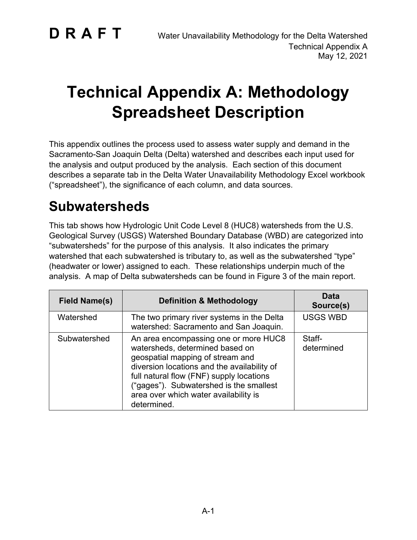# **Technical Appendix A: Methodology Spreadsheet Description**

This appendix outlines the process used to assess water supply and demand in the Sacramento-San Joaquin Delta (Delta) watershed and describes each input used for the analysis and output produced by the analysis. Each section of this document describes a separate tab in the Delta Water Unavailability Methodology Excel workbook ("spreadsheet"), the significance of each column, and data sources.

### **Subwatersheds**

This tab shows how Hydrologic Unit Code Level 8 (HUC8) watersheds from the U.S. Geological Survey (USGS) Watershed Boundary Database (WBD) are categorized into "subwatersheds" for the purpose of this analysis. It also indicates the primary watershed that each subwatershed is tributary to, as well as the subwatershed "type" (headwater or lower) assigned to each. These relationships underpin much of the analysis. A map of Delta subwatersheds can be found in Figure 3 of the main report.

| <b>Field Name(s)</b> | <b>Definition &amp; Methodology</b>                                                                                                                                                                                                                                                                        | Data<br>Source(s)    |
|----------------------|------------------------------------------------------------------------------------------------------------------------------------------------------------------------------------------------------------------------------------------------------------------------------------------------------------|----------------------|
| Watershed            | The two primary river systems in the Delta<br>watershed: Sacramento and San Joaquin.                                                                                                                                                                                                                       | <b>USGS WBD</b>      |
| Subwatershed         | An area encompassing one or more HUC8<br>watersheds, determined based on<br>geospatial mapping of stream and<br>diversion locations and the availability of<br>full natural flow (FNF) supply locations<br>("gages"). Subwatershed is the smallest<br>area over which water availability is<br>determined. | Staff-<br>determined |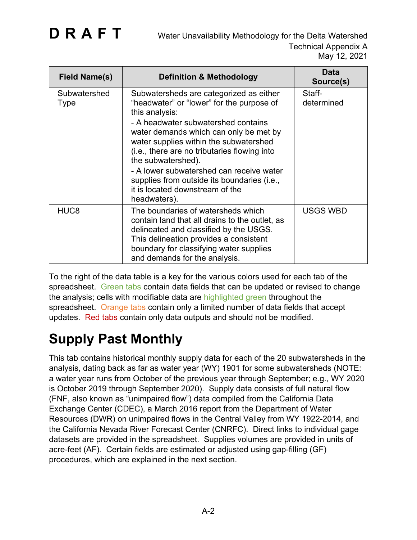| <b>Field Name(s)</b> | <b>Definition &amp; Methodology</b>                                                                                                                                                                                                                                                                                                                                                                                                                   | <b>Data</b><br>Source(s) |
|----------------------|-------------------------------------------------------------------------------------------------------------------------------------------------------------------------------------------------------------------------------------------------------------------------------------------------------------------------------------------------------------------------------------------------------------------------------------------------------|--------------------------|
| Subwatershed<br>Type | Subwatersheds are categorized as either<br>"headwater" or "lower" for the purpose of<br>this analysis:<br>- A headwater subwatershed contains<br>water demands which can only be met by<br>water supplies within the subwatershed<br>(i.e., there are no tributaries flowing into<br>the subwatershed).<br>- A lower subwatershed can receive water<br>supplies from outside its boundaries (i.e.,<br>it is located downstream of the<br>headwaters). | Staff-<br>determined     |
| HUC <sub>8</sub>     | The boundaries of watersheds which<br>contain land that all drains to the outlet, as<br>delineated and classified by the USGS.<br>This delineation provides a consistent<br>boundary for classifying water supplies<br>and demands for the analysis.                                                                                                                                                                                                  | <b>USGS WBD</b>          |

To the right of the data table is a key for the various colors used for each tab of the spreadsheet. Green tabs contain data fields that can be updated or revised to change the analysis; cells with modifiable data are highlighted green throughout the spreadsheet. Orange tabs contain only a limited number of data fields that accept updates. Red tabs contain only data outputs and should not be modified.

## **Supply Past Monthly**

This tab contains historical monthly supply data for each of the 20 subwatersheds in the analysis, dating back as far as water year (WY) 1901 for some subwatersheds (NOTE: a water year runs from October of the previous year through September; e.g., WY 2020 is October 2019 through September 2020). Supply data consists of full natural flow (FNF, also known as "unimpaired flow") data compiled from the California Data Exchange Center (CDEC), a March 2016 report from the Department of Water Resources (DWR) on unimpaired flows in the Central Valley from WY 1922-2014, and the California Nevada River Forecast Center (CNRFC). Direct links to individual gage datasets are provided in the spreadsheet. Supplies volumes are provided in units of acre-feet (AF). Certain fields are estimated or adjusted using gap-filling (GF) procedures, which are explained in the next section.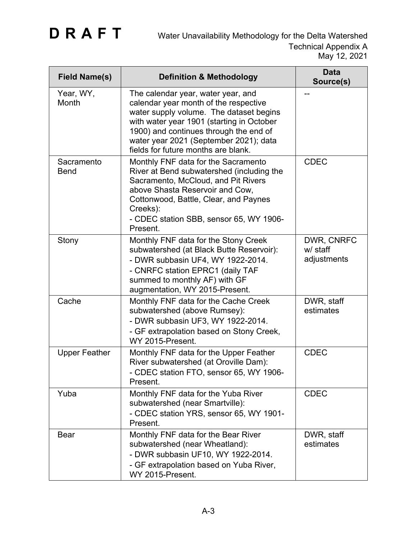| <b>Field Name(s)</b>      | <b>Definition &amp; Methodology</b>                                                                                                                                                                                                                                                            | <b>Data</b><br>Source(s)              |
|---------------------------|------------------------------------------------------------------------------------------------------------------------------------------------------------------------------------------------------------------------------------------------------------------------------------------------|---------------------------------------|
| Year, WY,<br>Month        | The calendar year, water year, and<br>calendar year month of the respective<br>water supply volume. The dataset begins<br>with water year 1901 (starting in October<br>1900) and continues through the end of<br>water year 2021 (September 2021); data<br>fields for future months are blank. | --                                    |
| Sacramento<br><b>Bend</b> | Monthly FNF data for the Sacramento<br>River at Bend subwatershed (including the<br>Sacramento, McCloud, and Pit Rivers<br>above Shasta Reservoir and Cow,<br>Cottonwood, Battle, Clear, and Paynes<br>Creeks):<br>- CDEC station SBB, sensor 65, WY 1906-<br>Present.                         | <b>CDEC</b>                           |
| Stony                     | Monthly FNF data for the Stony Creek<br>subwatershed (at Black Butte Reservoir):<br>- DWR subbasin UF4, WY 1922-2014.<br>- CNRFC station EPRC1 (daily TAF<br>summed to monthly AF) with GF<br>augmentation, WY 2015-Present.                                                                   | DWR, CNRFC<br>w/ staff<br>adjustments |
| Cache                     | Monthly FNF data for the Cache Creek<br>subwatershed (above Rumsey):<br>- DWR subbasin UF3, WY 1922-2014.<br>- GF extrapolation based on Stony Creek,<br>WY 2015-Present.                                                                                                                      | DWR, staff<br>estimates               |
| <b>Upper Feather</b>      | Monthly FNF data for the Upper Feather<br>River subwatershed (at Oroville Dam):<br>- CDEC station FTO, sensor 65, WY 1906-<br>Present.                                                                                                                                                         | <b>CDEC</b>                           |
| Yuba                      | Monthly FNF data for the Yuba River<br>subwatershed (near Smartville):<br>- CDEC station YRS, sensor 65, WY 1901-<br>Present.                                                                                                                                                                  | <b>CDEC</b>                           |
| <b>Bear</b>               | Monthly FNF data for the Bear River<br>subwatershed (near Wheatland):<br>- DWR subbasin UF10, WY 1922-2014.<br>- GF extrapolation based on Yuba River,<br>WY 2015-Present.                                                                                                                     | DWR, staff<br>estimates               |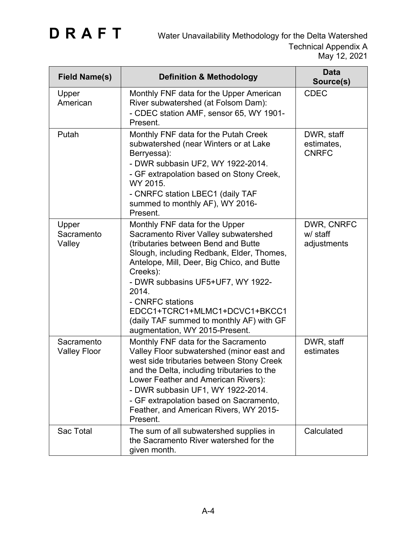| <b>Field Name(s)</b>              | <b>Definition &amp; Methodology</b>                                                                                                                                                                                                                                                                                                                                                                   | <b>Data</b><br>Source(s)                 |
|-----------------------------------|-------------------------------------------------------------------------------------------------------------------------------------------------------------------------------------------------------------------------------------------------------------------------------------------------------------------------------------------------------------------------------------------------------|------------------------------------------|
| Upper<br>American                 | Monthly FNF data for the Upper American<br>River subwatershed (at Folsom Dam):<br>- CDEC station AMF, sensor 65, WY 1901-<br>Present.                                                                                                                                                                                                                                                                 | <b>CDEC</b>                              |
| Putah                             | Monthly FNF data for the Putah Creek<br>subwatershed (near Winters or at Lake<br>Berryessa):<br>- DWR subbasin UF2, WY 1922-2014.<br>- GF extrapolation based on Stony Creek,<br>WY 2015.<br>- CNRFC station LBEC1 (daily TAF<br>summed to monthly AF), WY 2016-<br>Present.                                                                                                                          | DWR, staff<br>estimates,<br><b>CNRFC</b> |
| Upper<br>Sacramento<br>Valley     | Monthly FNF data for the Upper<br>Sacramento River Valley subwatershed<br>(tributaries between Bend and Butte<br>Slough, including Redbank, Elder, Thomes,<br>Antelope, Mill, Deer, Big Chico, and Butte<br>Creeks):<br>- DWR subbasins UF5+UF7, WY 1922-<br>2014.<br>- CNRFC stations<br>EDCC1+TCRC1+MLMC1+DCVC1+BKCC1<br>(daily TAF summed to monthly AF) with GF<br>augmentation, WY 2015-Present. | DWR, CNRFC<br>w/ staff<br>adjustments    |
| Sacramento<br><b>Valley Floor</b> | Monthly FNF data for the Sacramento<br>Valley Floor subwatershed (minor east and<br>west side tributaries between Stony Creek<br>and the Delta, including tributaries to the<br>Lower Feather and American Rivers):<br>- DWR subbasin UF1, WY 1922-2014.<br>- GF extrapolation based on Sacramento,<br>Feather, and American Rivers, WY 2015-<br>Present.                                             | DWR, staff<br>estimates                  |
| Sac Total                         | The sum of all subwatershed supplies in<br>the Sacramento River watershed for the<br>given month.                                                                                                                                                                                                                                                                                                     | Calculated                               |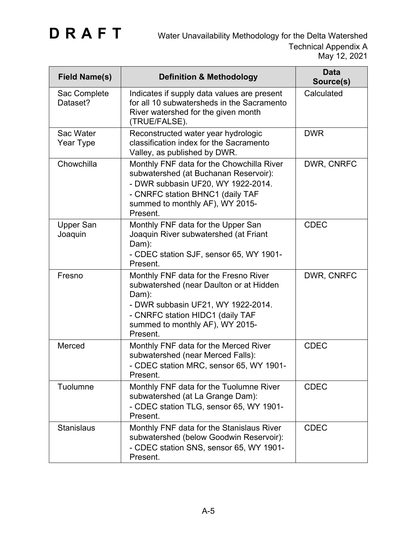| <b>Field Name(s)</b>        | <b>Definition &amp; Methodology</b>                                                                                                                                                                                | <b>Data</b><br>Source(s) |
|-----------------------------|--------------------------------------------------------------------------------------------------------------------------------------------------------------------------------------------------------------------|--------------------------|
| Sac Complete<br>Dataset?    | Indicates if supply data values are present<br>for all 10 subwatersheds in the Sacramento<br>River watershed for the given month<br>(TRUE/FALSE).                                                                  | Calculated               |
| Sac Water<br>Year Type      | Reconstructed water year hydrologic<br>classification index for the Sacramento<br>Valley, as published by DWR.                                                                                                     | <b>DWR</b>               |
| Chowchilla                  | Monthly FNF data for the Chowchilla River<br>subwatershed (at Buchanan Reservoir):<br>- DWR subbasin UF20, WY 1922-2014.<br>- CNRFC station BHNC1 (daily TAF<br>summed to monthly AF), WY 2015-<br>Present.        | DWR, CNRFC               |
| <b>Upper San</b><br>Joaquin | Monthly FNF data for the Upper San<br>Joaquin River subwatershed (at Friant<br>Dam):<br>- CDEC station SJF, sensor 65, WY 1901-<br>Present.                                                                        | <b>CDEC</b>              |
| Fresno                      | Monthly FNF data for the Fresno River<br>subwatershed (near Daulton or at Hidden<br>Dam):<br>- DWR subbasin UF21, WY 1922-2014.<br>- CNRFC station HIDC1 (daily TAF<br>summed to monthly AF), WY 2015-<br>Present. | DWR, CNRFC               |
| Merced                      | Monthly FNF data for the Merced River<br>subwatershed (near Merced Falls):<br>- CDEC station MRC, sensor 65, WY 1901-<br>Present.                                                                                  | <b>CDEC</b>              |
| Tuolumne                    | Monthly FNF data for the Tuolumne River<br>subwatershed (at La Grange Dam):<br>- CDEC station TLG, sensor 65, WY 1901-<br>Present.                                                                                 | <b>CDEC</b>              |
| <b>Stanislaus</b>           | Monthly FNF data for the Stanislaus River<br>subwatershed (below Goodwin Reservoir):<br>- CDEC station SNS, sensor 65, WY 1901-<br>Present.                                                                        | <b>CDEC</b>              |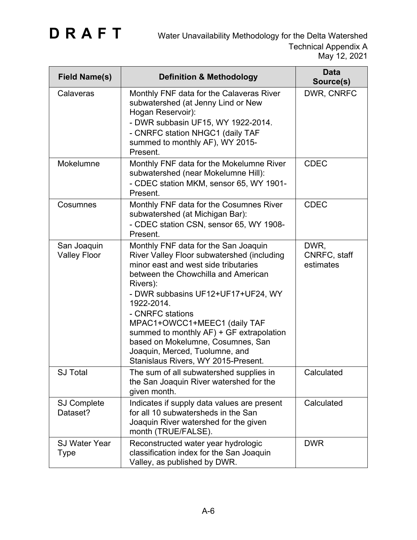| <b>Field Name(s)</b>                | <b>Definition &amp; Methodology</b>                                                                                                                                                                                                                                                                                                                                                                                                             | <b>Data</b><br>Source(s)          |
|-------------------------------------|-------------------------------------------------------------------------------------------------------------------------------------------------------------------------------------------------------------------------------------------------------------------------------------------------------------------------------------------------------------------------------------------------------------------------------------------------|-----------------------------------|
| Calaveras                           | Monthly FNF data for the Calaveras River<br>subwatershed (at Jenny Lind or New<br>Hogan Reservoir):<br>- DWR subbasin UF15, WY 1922-2014.<br>- CNRFC station NHGC1 (daily TAF<br>summed to monthly AF), WY 2015-<br>Present.                                                                                                                                                                                                                    | DWR, CNRFC                        |
| Mokelumne                           | Monthly FNF data for the Mokelumne River<br>subwatershed (near Mokelumne Hill):<br>- CDEC station MKM, sensor 65, WY 1901-<br>Present.                                                                                                                                                                                                                                                                                                          | <b>CDEC</b>                       |
| Cosumnes                            | Monthly FNF data for the Cosumnes River<br>subwatershed (at Michigan Bar):<br>- CDEC station CSN, sensor 65, WY 1908-<br>Present.                                                                                                                                                                                                                                                                                                               | <b>CDEC</b>                       |
| San Joaquin<br><b>Valley Floor</b>  | Monthly FNF data for the San Joaquin<br>River Valley Floor subwatershed (including<br>minor east and west side tributaries<br>between the Chowchilla and American<br>Rivers):<br>- DWR subbasins UF12+UF17+UF24, WY<br>1922-2014.<br>- CNRFC stations<br>MPAC1+OWCC1+MEEC1 (daily TAF<br>summed to monthly AF) + GF extrapolation<br>based on Mokelumne, Cosumnes, San<br>Joaquin, Merced, Tuolumne, and<br>Stanislaus Rivers, WY 2015-Present. | DWR,<br>CNRFC, staff<br>estimates |
| <b>SJ Total</b>                     | The sum of all subwatershed supplies in<br>the San Joaquin River watershed for the<br>given month.                                                                                                                                                                                                                                                                                                                                              | Calculated                        |
| <b>SJ Complete</b><br>Dataset?      | Indicates if supply data values are present<br>for all 10 subwatersheds in the San<br>Joaquin River watershed for the given<br>month (TRUE/FALSE).                                                                                                                                                                                                                                                                                              | Calculated                        |
| <b>SJ Water Year</b><br><b>Type</b> | Reconstructed water year hydrologic<br>classification index for the San Joaquin<br>Valley, as published by DWR.                                                                                                                                                                                                                                                                                                                                 | <b>DWR</b>                        |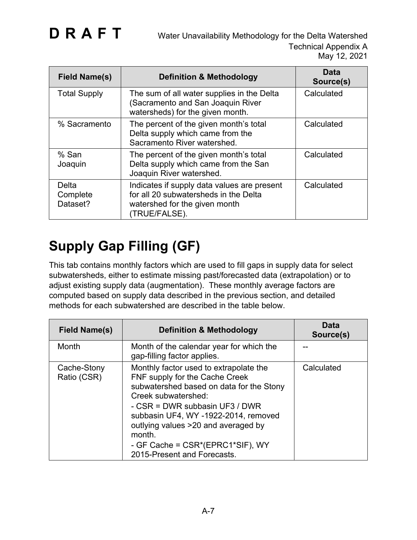| <b>Field Name(s)</b>          | <b>Definition &amp; Methodology</b>                                                                                                    | <b>Data</b><br>Source(s) |
|-------------------------------|----------------------------------------------------------------------------------------------------------------------------------------|--------------------------|
| <b>Total Supply</b>           | The sum of all water supplies in the Delta<br>(Sacramento and San Joaquin River<br>watersheds) for the given month.                    | Calculated               |
| % Sacramento                  | The percent of the given month's total<br>Delta supply which came from the<br>Sacramento River watershed.                              | Calculated               |
| % San<br>Joaquin              | The percent of the given month's total<br>Delta supply which came from the San<br>Joaquin River watershed.                             | Calculated               |
| Delta<br>Complete<br>Dataset? | Indicates if supply data values are present<br>for all 20 subwatersheds in the Delta<br>watershed for the given month<br>(TRUE/FALSE). | Calculated               |

## **Supply Gap Filling (GF)**

This tab contains monthly factors which are used to fill gaps in supply data for select subwatersheds, either to estimate missing past/forecasted data (extrapolation) or to adjust existing supply data (augmentation). These monthly average factors are computed based on supply data described in the previous section, and detailed methods for each subwatershed are described in the table below.

| Field Name(s)              | <b>Definition &amp; Methodology</b>                                                                                                                                                                                                                                                                                                       | Data<br>Source(s) |
|----------------------------|-------------------------------------------------------------------------------------------------------------------------------------------------------------------------------------------------------------------------------------------------------------------------------------------------------------------------------------------|-------------------|
| Month                      | Month of the calendar year for which the<br>gap-filling factor applies.                                                                                                                                                                                                                                                                   |                   |
| Cache-Stony<br>Ratio (CSR) | Monthly factor used to extrapolate the<br>FNF supply for the Cache Creek<br>subwatershed based on data for the Stony<br>Creek subwatershed:<br>- CSR = DWR subbasin UF3 / DWR<br>subbasin UF4, WY -1922-2014, removed<br>outlying values >20 and averaged by<br>month.<br>- GF Cache = CSR*(EPRC1*SIF), WY<br>2015-Present and Forecasts. | Calculated        |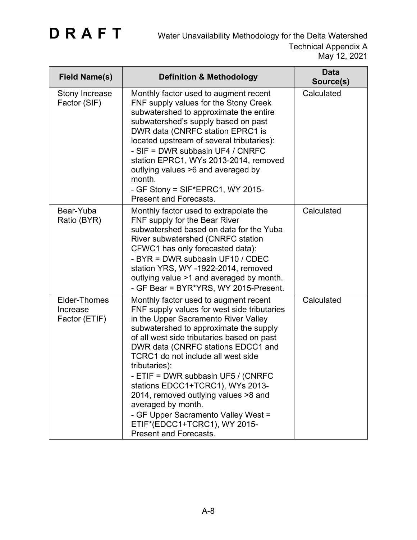| <b>Field Name(s)</b>                             | <b>Definition &amp; Methodology</b>                                                                                                                                                                                                                                                                                                                                                                                                                                                                                                                               | <b>Data</b><br>Source(s) |
|--------------------------------------------------|-------------------------------------------------------------------------------------------------------------------------------------------------------------------------------------------------------------------------------------------------------------------------------------------------------------------------------------------------------------------------------------------------------------------------------------------------------------------------------------------------------------------------------------------------------------------|--------------------------|
| <b>Stony Increase</b><br>Factor (SIF)            | Monthly factor used to augment recent<br>FNF supply values for the Stony Creek<br>subwatershed to approximate the entire<br>subwatershed's supply based on past<br>DWR data (CNRFC station EPRC1 is<br>located upstream of several tributaries):<br>- SIF = DWR subbasin UF4 / CNRFC<br>station EPRC1, WYs 2013-2014, removed<br>outlying values >6 and averaged by<br>month.<br>- GF Stony = $SIF*EPRC1$ , WY 2015-<br><b>Present and Forecasts.</b>                                                                                                             | Calculated               |
| Bear-Yuba<br>Ratio (BYR)                         | Monthly factor used to extrapolate the<br>FNF supply for the Bear River<br>subwatershed based on data for the Yuba<br>River subwatershed (CNRFC station<br>CFWC1 has only forecasted data):<br>- BYR = DWR subbasin UF10 / CDEC<br>station YRS, WY-1922-2014, removed<br>outlying value >1 and averaged by month.<br>- GF Bear = BYR*YRS, WY 2015-Present.                                                                                                                                                                                                        | Calculated               |
| <b>Elder-Thomes</b><br>Increase<br>Factor (ETIF) | Monthly factor used to augment recent<br>FNF supply values for west side tributaries<br>in the Upper Sacramento River Valley<br>subwatershed to approximate the supply<br>of all west side tributaries based on past<br>DWR data (CNRFC stations EDCC1 and<br>TCRC1 do not include all west side<br>tributaries):<br>- ETIF = DWR subbasin UF5 / (CNRFC<br>stations EDCC1+TCRC1), WYs 2013-<br>2014, removed outlying values >8 and<br>averaged by month.<br>- GF Upper Sacramento Valley West =<br>ETIF*(EDCC1+TCRC1), WY 2015-<br><b>Present and Forecasts.</b> | Calculated               |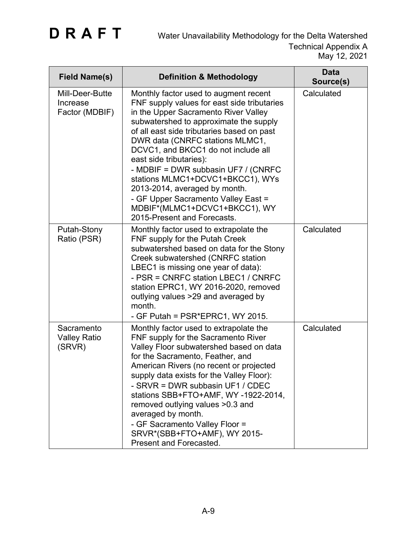| <b>Field Name(s)</b>                          | <b>Definition &amp; Methodology</b>                                                                                                                                                                                                                                                                                                                                                                                                                                                                                                          | <b>Data</b><br>Source(s) |
|-----------------------------------------------|----------------------------------------------------------------------------------------------------------------------------------------------------------------------------------------------------------------------------------------------------------------------------------------------------------------------------------------------------------------------------------------------------------------------------------------------------------------------------------------------------------------------------------------------|--------------------------|
| Mill-Deer-Butte<br>Increase<br>Factor (MDBIF) | Monthly factor used to augment recent<br>FNF supply values for east side tributaries<br>in the Upper Sacramento River Valley<br>subwatershed to approximate the supply<br>of all east side tributaries based on past<br>DWR data (CNRFC stations MLMC1,<br>DCVC1, and BKCC1 do not include all<br>east side tributaries):<br>- MDBIF = DWR subbasin UF7 / (CNRFC<br>stations MLMC1+DCVC1+BKCC1), WYs<br>2013-2014, averaged by month.<br>- GF Upper Sacramento Valley East =<br>MDBIF*(MLMC1+DCVC1+BKCC1), WY<br>2015-Present and Forecasts. | Calculated               |
| Putah-Stony<br>Ratio (PSR)                    | Monthly factor used to extrapolate the<br>FNF supply for the Putah Creek<br>subwatershed based on data for the Stony<br>Creek subwatershed (CNRFC station<br>LBEC1 is missing one year of data):<br>- PSR = CNRFC station LBEC1 / CNRFC<br>station EPRC1, WY 2016-2020, removed<br>outlying values >29 and averaged by<br>month.<br>- GF Putah = PSR*EPRC1, WY 2015.                                                                                                                                                                         | Calculated               |
| Sacramento<br><b>Valley Ratio</b><br>(SRVR)   | Monthly factor used to extrapolate the<br>FNF supply for the Sacramento River<br>Valley Floor subwatershed based on data<br>for the Sacramento, Feather, and<br>American Rivers (no recent or projected<br>supply data exists for the Valley Floor):<br>- SRVR = DWR subbasin UF1 / CDEC<br>stations SBB+FTO+AMF, WY-1922-2014,<br>removed outlying values >0.3 and<br>averaged by month.<br>- GF Sacramento Valley Floor =<br>SRVR*(SBB+FTO+AMF), WY 2015-<br>Present and Forecasted.                                                       | Calculated               |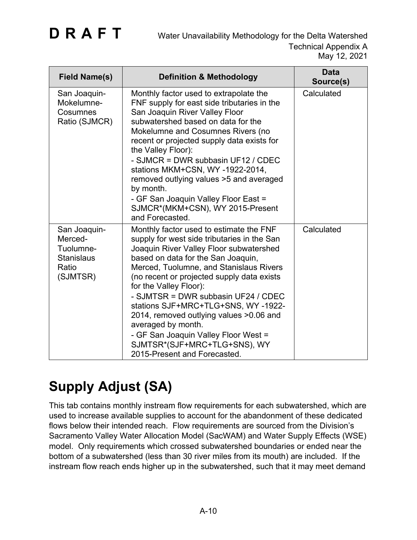| <b>Field Name(s)</b>                                                           | <b>Definition &amp; Methodology</b>                                                                                                                                                                                                                                                                                                                                                                                                                                                                                                               | <b>Data</b><br>Source(s) |
|--------------------------------------------------------------------------------|---------------------------------------------------------------------------------------------------------------------------------------------------------------------------------------------------------------------------------------------------------------------------------------------------------------------------------------------------------------------------------------------------------------------------------------------------------------------------------------------------------------------------------------------------|--------------------------|
| San Joaquin-<br>Mokelumne-<br>Cosumnes<br>Ratio (SJMCR)                        | Monthly factor used to extrapolate the<br>FNF supply for east side tributaries in the<br>San Joaquin River Valley Floor<br>subwatershed based on data for the<br>Mokelumne and Cosumnes Rivers (no<br>recent or projected supply data exists for<br>the Valley Floor):<br>- SJMCR = DWR subbasin UF12 / CDEC<br>stations MKM+CSN, WY-1922-2014,<br>removed outlying values >5 and averaged<br>by month.<br>- GF San Joaquin Valley Floor East =<br>SJMCR*(MKM+CSN), WY 2015-Present<br>and Forecasted.                                            | Calculated               |
| San Joaquin-<br>Merced-<br>Tuolumne-<br><b>Stanislaus</b><br>Ratio<br>(SJMTSR) | Monthly factor used to estimate the FNF<br>supply for west side tributaries in the San<br>Joaquin River Valley Floor subwatershed<br>based on data for the San Joaquin,<br>Merced, Tuolumne, and Stanislaus Rivers<br>(no recent or projected supply data exists<br>for the Valley Floor):<br>- SJMTSR = DWR subbasin UF24 / CDEC<br>stations SJF+MRC+TLG+SNS, WY-1922-<br>2014, removed outlying values > 0.06 and<br>averaged by month.<br>- GF San Joaquin Valley Floor West =<br>SJMTSR*(SJF+MRC+TLG+SNS), WY<br>2015-Present and Forecasted. | Calculated               |

## **Supply Adjust (SA)**

This tab contains monthly instream flow requirements for each subwatershed, which are used to increase available supplies to account for the abandonment of these dedicated flows below their intended reach. Flow requirements are sourced from the Division's Sacramento Valley Water Allocation Model (SacWAM) and Water Supply Effects (WSE) model. Only requirements which crossed subwatershed boundaries or ended near the bottom of a subwatershed (less than 30 river miles from its mouth) are included. If the instream flow reach ends higher up in the subwatershed, such that it may meet demand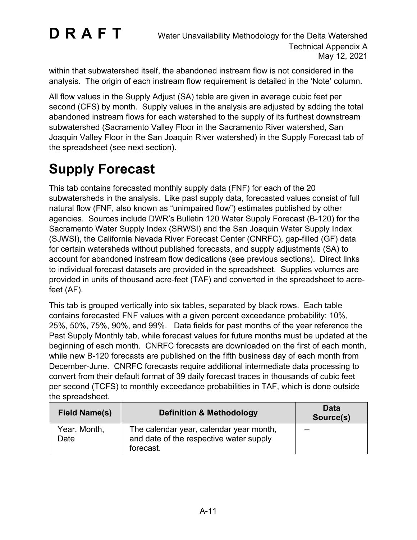within that subwatershed itself, the abandoned instream flow is not considered in the analysis. The origin of each instream flow requirement is detailed in the 'Note' column.

All flow values in the Supply Adjust (SA) table are given in average cubic feet per second (CFS) by month. Supply values in the analysis are adjusted by adding the total abandoned instream flows for each watershed to the supply of its furthest downstream subwatershed (Sacramento Valley Floor in the Sacramento River watershed, San Joaquin Valley Floor in the San Joaquin River watershed) in the Supply Forecast tab of the spreadsheet (see next section).

## **Supply Forecast**

This tab contains forecasted monthly supply data (FNF) for each of the 20 subwatersheds in the analysis. Like past supply data, forecasted values consist of full natural flow (FNF, also known as "unimpaired flow") estimates published by other agencies. Sources include DWR's Bulletin 120 Water Supply Forecast (B-120) for the Sacramento Water Supply Index (SRWSI) and the San Joaquin Water Supply Index (SJWSI), the California Nevada River Forecast Center (CNRFC), gap-filled (GF) data for certain watersheds without published forecasts, and supply adjustments (SA) to account for abandoned instream flow dedications (see previous sections). Direct links to individual forecast datasets are provided in the spreadsheet. Supplies volumes are provided in units of thousand acre-feet (TAF) and converted in the spreadsheet to acrefeet (AF).

This tab is grouped vertically into six tables, separated by black rows. Each table contains forecasted FNF values with a given percent exceedance probability: 10%, 25%, 50%, 75%, 90%, and 99%. Data fields for past months of the year reference the Past Supply Monthly tab, while forecast values for future months must be updated at the beginning of each month. CNRFC forecasts are downloaded on the first of each month, while new B-120 forecasts are published on the fifth business day of each month from December-June. CNRFC forecasts require additional intermediate data processing to convert from their default format of 39 daily forecast traces in thousands of cubic feet per second (TCFS) to monthly exceedance probabilities in TAF, which is done outside the spreadsheet.

| <b>Field Name(s)</b> | <b>Definition &amp; Methodology</b>                                                             | <b>Data</b><br>Source(s) |
|----------------------|-------------------------------------------------------------------------------------------------|--------------------------|
| Year, Month,<br>Date | The calendar year, calendar year month,<br>and date of the respective water supply<br>forecast. | $-$                      |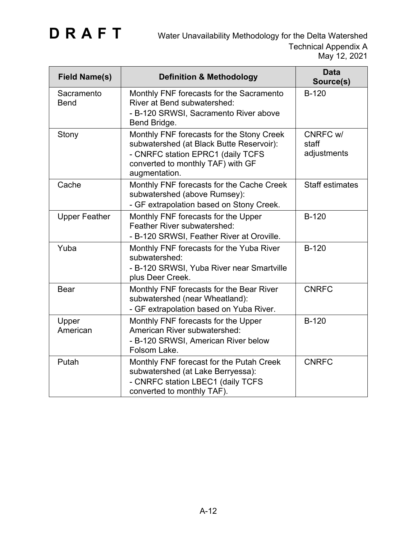| <b>Field Name(s)</b>      | <b>Definition &amp; Methodology</b>                                                                                                                                              | <b>Data</b><br>Source(s)         |
|---------------------------|----------------------------------------------------------------------------------------------------------------------------------------------------------------------------------|----------------------------------|
| Sacramento<br><b>Bend</b> | Monthly FNF forecasts for the Sacramento<br><b>River at Bend subwatershed:</b><br>- B-120 SRWSI, Sacramento River above<br>Bend Bridge.                                          | <b>B-120</b>                     |
| Stony                     | Monthly FNF forecasts for the Stony Creek<br>subwatershed (at Black Butte Reservoir):<br>- CNRFC station EPRC1 (daily TCFS<br>converted to monthly TAF) with GF<br>augmentation. | CNRFC w/<br>staff<br>adjustments |
| Cache                     | Monthly FNF forecasts for the Cache Creek<br>subwatershed (above Rumsey):<br>- GF extrapolation based on Stony Creek.                                                            | <b>Staff estimates</b>           |
| <b>Upper Feather</b>      | Monthly FNF forecasts for the Upper<br><b>Feather River subwatershed:</b><br>- B-120 SRWSI, Feather River at Oroville.                                                           | <b>B-120</b>                     |
| Yuba                      | Monthly FNF forecasts for the Yuba River<br>subwatershed:<br>- B-120 SRWSI, Yuba River near Smartville<br>plus Deer Creek.                                                       | $B-120$                          |
| <b>Bear</b>               | Monthly FNF forecasts for the Bear River<br>subwatershed (near Wheatland):<br>- GF extrapolation based on Yuba River.                                                            | <b>CNRFC</b>                     |
| Upper<br>American         | Monthly FNF forecasts for the Upper<br>American River subwatershed:<br>- B-120 SRWSI, American River below<br>Folsom Lake.                                                       | <b>B-120</b>                     |
| Putah                     | Monthly FNF forecast for the Putah Creek<br>subwatershed (at Lake Berryessa):<br>- CNRFC station LBEC1 (daily TCFS<br>converted to monthly TAF).                                 | <b>CNRFC</b>                     |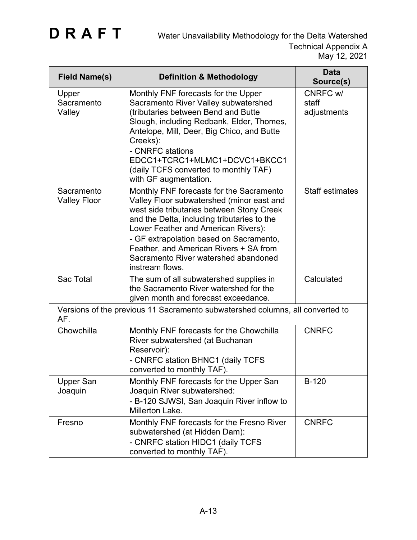| <b>Field Name(s)</b>              | <b>Definition &amp; Methodology</b>                                                                                                                                                                                                                                                                                                                                      | <b>Data</b><br>Source(s)         |
|-----------------------------------|--------------------------------------------------------------------------------------------------------------------------------------------------------------------------------------------------------------------------------------------------------------------------------------------------------------------------------------------------------------------------|----------------------------------|
| Upper<br>Sacramento<br>Valley     | Monthly FNF forecasts for the Upper<br>Sacramento River Valley subwatershed<br>(tributaries between Bend and Butte<br>Slough, including Redbank, Elder, Thomes,<br>Antelope, Mill, Deer, Big Chico, and Butte<br>Creeks):<br>- CNRFC stations<br>EDCC1+TCRC1+MLMC1+DCVC1+BKCC1<br>(daily TCFS converted to monthly TAF)<br>with GF augmentation.                         | CNRFC w/<br>staff<br>adjustments |
| Sacramento<br><b>Valley Floor</b> | Monthly FNF forecasts for the Sacramento<br>Valley Floor subwatershed (minor east and<br>west side tributaries between Stony Creek<br>and the Delta, including tributaries to the<br>Lower Feather and American Rivers):<br>- GF extrapolation based on Sacramento,<br>Feather, and American Rivers + SA from<br>Sacramento River watershed abandoned<br>instream flows. | <b>Staff estimates</b>           |
| Sac Total                         | The sum of all subwatershed supplies in<br>the Sacramento River watershed for the<br>given month and forecast exceedance.                                                                                                                                                                                                                                                | Calculated                       |
| AF.                               | Versions of the previous 11 Sacramento subwatershed columns, all converted to                                                                                                                                                                                                                                                                                            |                                  |
| Chowchilla                        | Monthly FNF forecasts for the Chowchilla<br>River subwatershed (at Buchanan<br>Reservoir):<br>- CNRFC station BHNC1 (daily TCFS<br>converted to monthly TAF).                                                                                                                                                                                                            | <b>CNRFC</b>                     |
| <b>Upper San</b><br>Joaquin       | Monthly FNF forecasts for the Upper San<br>Joaquin River subwatershed:<br>- B-120 SJWSI, San Joaquin River inflow to<br>Millerton Lake.                                                                                                                                                                                                                                  | <b>B-120</b>                     |
| Fresno                            | Monthly FNF forecasts for the Fresno River<br>subwatershed (at Hidden Dam):<br>- CNRFC station HIDC1 (daily TCFS<br>converted to monthly TAF).                                                                                                                                                                                                                           | <b>CNRFC</b>                     |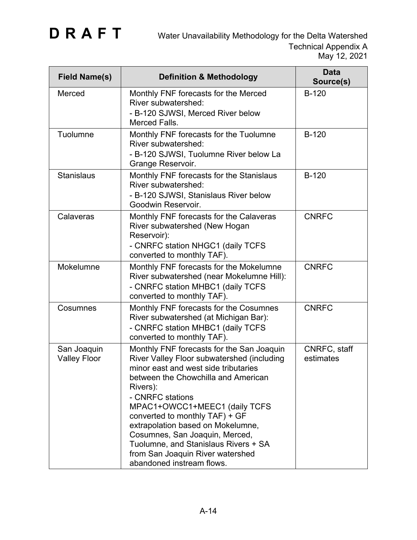| <b>Field Name(s)</b>               | <b>Definition &amp; Methodology</b>                                                                                                                                                                                                                                                                                                                                                                                                                       | <b>Data</b><br>Source(s)  |
|------------------------------------|-----------------------------------------------------------------------------------------------------------------------------------------------------------------------------------------------------------------------------------------------------------------------------------------------------------------------------------------------------------------------------------------------------------------------------------------------------------|---------------------------|
| Merced                             | Monthly FNF forecasts for the Merced<br>River subwatershed:<br>- B-120 SJWSI, Merced River below<br>Merced Falls.                                                                                                                                                                                                                                                                                                                                         | <b>B-120</b>              |
| Tuolumne                           | Monthly FNF forecasts for the Tuolumne<br>River subwatershed:<br>- B-120 SJWSI, Tuolumne River below La<br>Grange Reservoir.                                                                                                                                                                                                                                                                                                                              | <b>B-120</b>              |
| <b>Stanislaus</b>                  | Monthly FNF forecasts for the Stanislaus<br>River subwatershed:<br>- B-120 SJWSI, Stanislaus River below<br>Goodwin Reservoir.                                                                                                                                                                                                                                                                                                                            | $B-120$                   |
| Calaveras                          | Monthly FNF forecasts for the Calaveras<br>River subwatershed (New Hogan<br>Reservoir):<br>- CNRFC station NHGC1 (daily TCFS<br>converted to monthly TAF).                                                                                                                                                                                                                                                                                                | <b>CNRFC</b>              |
| Mokelumne                          | Monthly FNF forecasts for the Mokelumne<br>River subwatershed (near Mokelumne Hill):<br>- CNRFC station MHBC1 (daily TCFS<br>converted to monthly TAF).                                                                                                                                                                                                                                                                                                   | <b>CNRFC</b>              |
| Cosumnes                           | Monthly FNF forecasts for the Cosumnes<br>River subwatershed (at Michigan Bar):<br>- CNRFC station MHBC1 (daily TCFS<br>converted to monthly TAF).                                                                                                                                                                                                                                                                                                        | <b>CNRFC</b>              |
| San Joaquin<br><b>Valley Floor</b> | Monthly FNF forecasts for the San Joaquin<br>River Valley Floor subwatershed (including<br>minor east and west side tributaries<br>between the Chowchilla and American<br>Rivers):<br>- CNRFC stations<br>MPAC1+OWCC1+MEEC1 (daily TCFS<br>converted to monthly TAF) + GF<br>extrapolation based on Mokelumne,<br>Cosumnes, San Joaquin, Merced,<br>Tuolumne, and Stanislaus Rivers + SA<br>from San Joaquin River watershed<br>abandoned instream flows. | CNRFC, staff<br>estimates |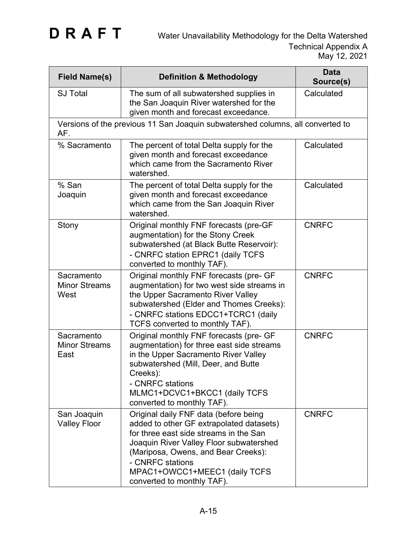| <b>Field Name(s)</b>                       | <b>Definition &amp; Methodology</b>                                                                                                                                                                                                                                                              | <b>Data</b><br>Source(s) |
|--------------------------------------------|--------------------------------------------------------------------------------------------------------------------------------------------------------------------------------------------------------------------------------------------------------------------------------------------------|--------------------------|
| <b>SJ Total</b>                            | The sum of all subwatershed supplies in<br>the San Joaquin River watershed for the<br>given month and forecast exceedance.                                                                                                                                                                       | Calculated               |
| AF.                                        | Versions of the previous 11 San Joaquin subwatershed columns, all converted to                                                                                                                                                                                                                   |                          |
| % Sacramento                               | The percent of total Delta supply for the<br>given month and forecast exceedance<br>which came from the Sacramento River<br>watershed.                                                                                                                                                           | Calculated               |
| % San<br>Joaquin                           | The percent of total Delta supply for the<br>given month and forecast exceedance<br>which came from the San Joaquin River<br>watershed.                                                                                                                                                          | Calculated               |
| Stony                                      | Original monthly FNF forecasts (pre-GF<br>augmentation) for the Stony Creek<br>subwatershed (at Black Butte Reservoir):<br>- CNRFC station EPRC1 (daily TCFS<br>converted to monthly TAF).                                                                                                       | <b>CNRFC</b>             |
| Sacramento<br><b>Minor Streams</b><br>West | Original monthly FNF forecasts (pre- GF<br>augmentation) for two west side streams in<br>the Upper Sacramento River Valley<br>subwatershed (Elder and Thomes Creeks):<br>- CNRFC stations EDCC1+TCRC1 (daily<br>TCFS converted to monthly TAF).                                                  | <b>CNRFC</b>             |
| Sacramento<br><b>Minor Streams</b><br>East | Original monthly FNF forecasts (pre- GF<br>augmentation) for three east side streams<br>in the Upper Sacramento River Valley<br>subwatershed (Mill, Deer, and Butte<br>Creeks):<br>- CNRFC stations<br>MLMC1+DCVC1+BKCC1 (daily TCFS<br>converted to monthly TAF).                               | <b>CNRFC</b>             |
| San Joaquin<br><b>Valley Floor</b>         | Original daily FNF data (before being<br>added to other GF extrapolated datasets)<br>for three east side streams in the San<br>Joaquin River Valley Floor subwatershed<br>(Mariposa, Owens, and Bear Creeks):<br>- CNRFC stations<br>MPAC1+OWCC1+MEEC1 (daily TCFS<br>converted to monthly TAF). | <b>CNRFC</b>             |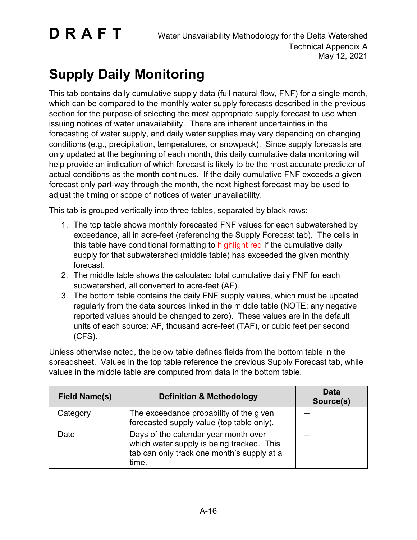## **Supply Daily Monitoring**

This tab contains daily cumulative supply data (full natural flow, FNF) for a single month, which can be compared to the monthly water supply forecasts described in the previous section for the purpose of selecting the most appropriate supply forecast to use when issuing notices of water unavailability. There are inherent uncertainties in the forecasting of water supply, and daily water supplies may vary depending on changing conditions (e.g., precipitation, temperatures, or snowpack). Since supply forecasts are only updated at the beginning of each month, this daily cumulative data monitoring will help provide an indication of which forecast is likely to be the most accurate predictor of actual conditions as the month continues. If the daily cumulative FNF exceeds a given forecast only part-way through the month, the next highest forecast may be used to adjust the timing or scope of notices of water unavailability.

This tab is grouped vertically into three tables, separated by black rows:

- 1. The top table shows monthly forecasted FNF values for each subwatershed by exceedance, all in acre-feet (referencing the Supply Forecast tab). The cells in this table have conditional formatting to highlight red if the cumulative daily supply for that subwatershed (middle table) has exceeded the given monthly forecast.
- 2. The middle table shows the calculated total cumulative daily FNF for each subwatershed, all converted to acre-feet (AF).
- 3. The bottom table contains the daily FNF supply values, which must be updated regularly from the data sources linked in the middle table (NOTE: any negative reported values should be changed to zero). These values are in the default units of each source: AF, thousand acre-feet (TAF), or cubic feet per second (CFS).

Unless otherwise noted, the below table defines fields from the bottom table in the spreadsheet. Values in the top table reference the previous Supply Forecast tab, while values in the middle table are computed from data in the bottom table.

| <b>Field Name(s)</b> | <b>Definition &amp; Methodology</b>                                                                                                      | <b>Data</b><br>Source(s) |
|----------------------|------------------------------------------------------------------------------------------------------------------------------------------|--------------------------|
| Category             | The exceedance probability of the given<br>forecasted supply value (top table only).                                                     |                          |
| Date                 | Days of the calendar year month over<br>which water supply is being tracked. This<br>tab can only track one month's supply at a<br>time. |                          |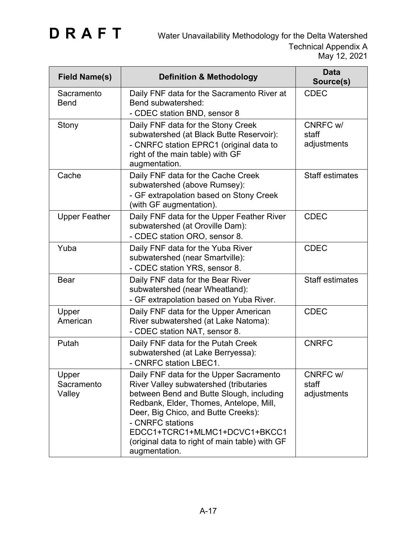| <b>Field Name(s)</b>          | <b>Definition &amp; Methodology</b>                                                                                                                                                                                                                                                                                                     | <b>Data</b><br>Source(s)         |
|-------------------------------|-----------------------------------------------------------------------------------------------------------------------------------------------------------------------------------------------------------------------------------------------------------------------------------------------------------------------------------------|----------------------------------|
| Sacramento<br><b>Bend</b>     | Daily FNF data for the Sacramento River at<br>Bend subwatershed:<br>- CDEC station BND, sensor 8                                                                                                                                                                                                                                        | <b>CDEC</b>                      |
| Stony                         | Daily FNF data for the Stony Creek<br>subwatershed (at Black Butte Reservoir):<br>- CNRFC station EPRC1 (original data to<br>right of the main table) with GF<br>augmentation.                                                                                                                                                          | CNRFC w/<br>staff<br>adjustments |
| Cache                         | Daily FNF data for the Cache Creek<br>subwatershed (above Rumsey):<br>- GF extrapolation based on Stony Creek<br>(with GF augmentation).                                                                                                                                                                                                | <b>Staff estimates</b>           |
| <b>Upper Feather</b>          | Daily FNF data for the Upper Feather River<br>subwatershed (at Oroville Dam):<br>- CDEC station ORO, sensor 8.                                                                                                                                                                                                                          | <b>CDEC</b>                      |
| Yuba                          | Daily FNF data for the Yuba River<br>subwatershed (near Smartville):<br>- CDEC station YRS, sensor 8.                                                                                                                                                                                                                                   | <b>CDEC</b>                      |
| <b>Bear</b>                   | Daily FNF data for the Bear River<br>subwatershed (near Wheatland):<br>- GF extrapolation based on Yuba River.                                                                                                                                                                                                                          | <b>Staff estimates</b>           |
| Upper<br>American             | Daily FNF data for the Upper American<br>River subwatershed (at Lake Natoma):<br>- CDEC station NAT, sensor 8.                                                                                                                                                                                                                          | <b>CDEC</b>                      |
| Putah                         | Daily FNF data for the Putah Creek<br>subwatershed (at Lake Berryessa):<br>- CNRFC station LBEC1.                                                                                                                                                                                                                                       | <b>CNRFC</b>                     |
| Upper<br>Sacramento<br>Valley | Daily FNF data for the Upper Sacramento<br>River Valley subwatershed (tributaries<br>between Bend and Butte Slough, including<br>Redbank, Elder, Thomes, Antelope, Mill,<br>Deer, Big Chico, and Butte Creeks):<br>- CNRFC stations<br>EDCC1+TCRC1+MLMC1+DCVC1+BKCC1<br>(original data to right of main table) with GF<br>augmentation. | CNRFC w/<br>staff<br>adjustments |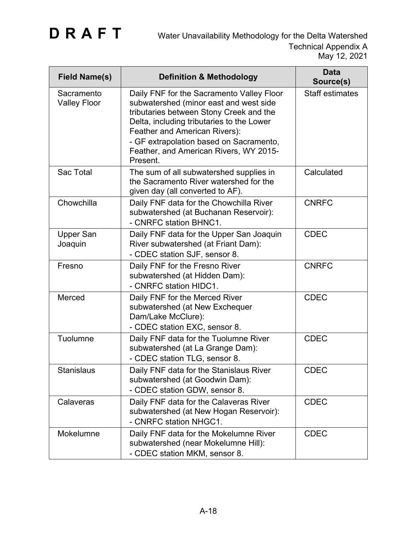| <b>Field Name(s)</b>              | <b>Definition &amp; Methodology</b>                                                                                                                                                                                                                                                                           | <b>Data</b><br>Source(s) |
|-----------------------------------|---------------------------------------------------------------------------------------------------------------------------------------------------------------------------------------------------------------------------------------------------------------------------------------------------------------|--------------------------|
| Sacramento<br><b>Valley Floor</b> | Daily FNF for the Sacramento Valley Floor<br>subwatershed (minor east and west side<br>tributaries between Stony Creek and the<br>Delta, including tributaries to the Lower<br>Feather and American Rivers):<br>- GF extrapolation based on Sacramento,<br>Feather, and American Rivers, WY 2015-<br>Present. | <b>Staff estimates</b>   |
| <b>Sac Total</b>                  | The sum of all subwatershed supplies in<br>the Sacramento River watershed for the<br>given day (all converted to AF).                                                                                                                                                                                         | Calculated               |
| Chowchilla                        | Daily FNF data for the Chowchilla River<br>subwatershed (at Buchanan Reservoir):<br>- CNRFC station BHNC1.                                                                                                                                                                                                    | <b>CNRFC</b>             |
| <b>Upper San</b><br>Joaquin       | Daily FNF data for the Upper San Joaquin<br>River subwatershed (at Friant Dam):<br>- CDEC station SJF, sensor 8.                                                                                                                                                                                              | <b>CDEC</b>              |
| Fresno                            | Daily FNF for the Fresno River<br>subwatershed (at Hidden Dam):<br>- CNRFC station HIDC1.                                                                                                                                                                                                                     | <b>CNRFC</b>             |
| Merced                            | Daily FNF for the Merced River<br>subwatershed (at New Exchequer<br>Dam/Lake McClure):<br>- CDEC station EXC, sensor 8.                                                                                                                                                                                       | <b>CDEC</b>              |
| Tuolumne                          | Daily FNF data for the Tuolumne River<br>subwatershed (at La Grange Dam):<br>- CDEC station TLG, sensor 8.                                                                                                                                                                                                    | <b>CDEC</b>              |
| Stanislaus                        | Daily FNF data for the Stanislaus River<br>subwatershed (at Goodwin Dam):<br>- CDEC station GDW, sensor 8.                                                                                                                                                                                                    | <b>CDEC</b>              |
| Calaveras                         | Daily FNF data for the Calaveras River<br>subwatershed (at New Hogan Reservoir):<br>- CNRFC station NHGC1.                                                                                                                                                                                                    | <b>CDEC</b>              |
| Mokelumne                         | Daily FNF data for the Mokelumne River<br>subwatershed (near Mokelumne Hill):<br>- CDEC station MKM, sensor 8.                                                                                                                                                                                                | <b>CDEC</b>              |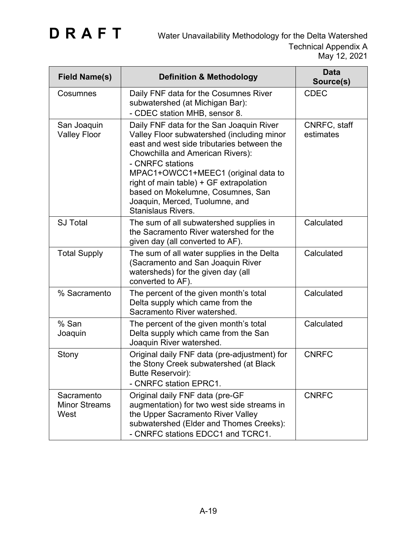| <b>Field Name(s)</b>                       | <b>Definition &amp; Methodology</b>                                                                                                                                                                                                                                                                                                                                                | <b>Data</b><br>Source(s)  |
|--------------------------------------------|------------------------------------------------------------------------------------------------------------------------------------------------------------------------------------------------------------------------------------------------------------------------------------------------------------------------------------------------------------------------------------|---------------------------|
| Cosumnes                                   | Daily FNF data for the Cosumnes River<br>subwatershed (at Michigan Bar):<br>- CDEC station MHB, sensor 8.                                                                                                                                                                                                                                                                          | <b>CDEC</b>               |
| San Joaquin<br><b>Valley Floor</b>         | Daily FNF data for the San Joaquin River<br>Valley Floor subwatershed (including minor<br>east and west side tributaries between the<br>Chowchilla and American Rivers):<br>- CNRFC stations<br>MPAC1+OWCC1+MEEC1 (original data to<br>right of main table) + GF extrapolation<br>based on Mokelumne, Cosumnes, San<br>Joaquin, Merced, Tuolumne, and<br><b>Stanislaus Rivers.</b> | CNRFC, staff<br>estimates |
| <b>SJ Total</b>                            | The sum of all subwatershed supplies in<br>the Sacramento River watershed for the<br>given day (all converted to AF).                                                                                                                                                                                                                                                              | Calculated                |
| <b>Total Supply</b>                        | The sum of all water supplies in the Delta<br>(Sacramento and San Joaquin River<br>watersheds) for the given day (all<br>converted to AF).                                                                                                                                                                                                                                         | Calculated                |
| % Sacramento                               | The percent of the given month's total<br>Delta supply which came from the<br>Sacramento River watershed.                                                                                                                                                                                                                                                                          | Calculated                |
| % San<br>Joaquin                           | The percent of the given month's total<br>Delta supply which came from the San<br>Joaquin River watershed.                                                                                                                                                                                                                                                                         | Calculated                |
| Stony                                      | Original daily FNF data (pre-adjustment) for<br>the Stony Creek subwatershed (at Black<br>Butte Reservoir):<br>- CNRFC station EPRC1.                                                                                                                                                                                                                                              | <b>CNRFC</b>              |
| Sacramento<br><b>Minor Streams</b><br>West | Original daily FNF data (pre-GF<br>augmentation) for two west side streams in<br>the Upper Sacramento River Valley<br>subwatershed (Elder and Thomes Creeks):<br>- CNRFC stations EDCC1 and TCRC1.                                                                                                                                                                                 | <b>CNRFC</b>              |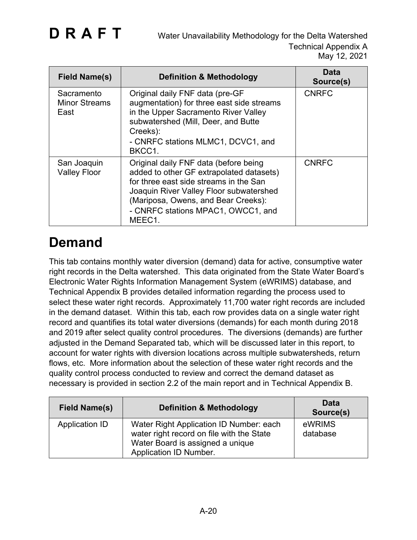| Field Name(s)                              | <b>Definition &amp; Methodology</b>                                                                                                                                                                                                                           | Data<br>Source(s) |
|--------------------------------------------|---------------------------------------------------------------------------------------------------------------------------------------------------------------------------------------------------------------------------------------------------------------|-------------------|
| Sacramento<br><b>Minor Streams</b><br>East | Original daily FNF data (pre-GF<br>augmentation) for three east side streams<br>in the Upper Sacramento River Valley<br>subwatershed (Mill, Deer, and Butte<br>Creeks):<br>- CNRFC stations MLMC1, DCVC1, and<br>BKCC1.                                       | <b>CNRFC</b>      |
| San Joaquin<br><b>Valley Floor</b>         | Original daily FNF data (before being<br>added to other GF extrapolated datasets)<br>for three east side streams in the San<br>Joaquin River Valley Floor subwatershed<br>(Mariposa, Owens, and Bear Creeks):<br>- CNRFC stations MPAC1, OWCC1, and<br>MEEC1. | <b>CNRFC</b>      |

### **Demand**

This tab contains monthly water diversion (demand) data for active, consumptive water right records in the Delta watershed. This data originated from the State Water Board's Electronic Water Rights Information Management System (eWRIMS) database, and Technical Appendix B provides detailed information regarding the process used to select these water right records. Approximately 11,700 water right records are included in the demand dataset. Within this tab, each row provides data on a single water right record and quantifies its total water diversions (demands) for each month during 2018 and 2019 after select quality control procedures. The diversions (demands) are further adjusted in the Demand Separated tab, which will be discussed later in this report, to account for water rights with diversion locations across multiple subwatersheds, return flows, etc. More information about the selection of these water right records and the quality control process conducted to review and correct the demand dataset as necessary is provided in section 2.2 of the main report and in Technical Appendix B.

| <b>Field Name(s)</b> | <b>Definition &amp; Methodology</b>                                                                                                                | Data<br>Source(s)  |
|----------------------|----------------------------------------------------------------------------------------------------------------------------------------------------|--------------------|
| Application ID       | Water Right Application ID Number: each<br>water right record on file with the State<br>Water Board is assigned a unique<br>Application ID Number. | eWRIMS<br>database |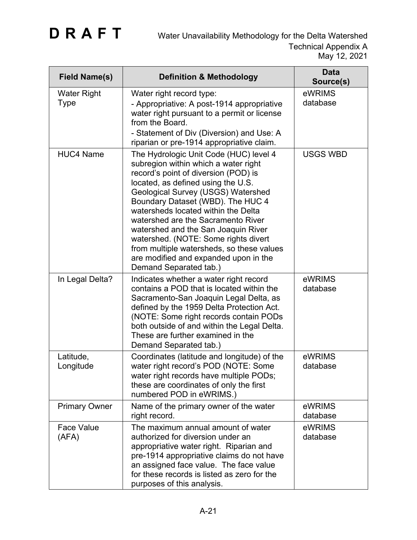| <b>Field Name(s)</b>       | <b>Definition &amp; Methodology</b>                                                                                                                                                                                                                                                                                                                                                                                                                                                                                 | <b>Data</b><br>Source(s) |
|----------------------------|---------------------------------------------------------------------------------------------------------------------------------------------------------------------------------------------------------------------------------------------------------------------------------------------------------------------------------------------------------------------------------------------------------------------------------------------------------------------------------------------------------------------|--------------------------|
| <b>Water Right</b><br>Type | Water right record type:<br>- Appropriative: A post-1914 appropriative<br>water right pursuant to a permit or license<br>from the Board.<br>- Statement of Div (Diversion) and Use: A<br>riparian or pre-1914 appropriative claim.                                                                                                                                                                                                                                                                                  | eWRIMS<br>database       |
| <b>HUC4 Name</b>           | The Hydrologic Unit Code (HUC) level 4<br>subregion within which a water right<br>record's point of diversion (POD) is<br>located, as defined using the U.S.<br>Geological Survey (USGS) Watershed<br>Boundary Dataset (WBD). The HUC 4<br>watersheds located within the Delta<br>watershed are the Sacramento River<br>watershed and the San Joaquin River<br>watershed. (NOTE: Some rights divert<br>from multiple watersheds, so these values<br>are modified and expanded upon in the<br>Demand Separated tab.) | <b>USGS WBD</b>          |
| In Legal Delta?            | Indicates whether a water right record<br>contains a POD that is located within the<br>Sacramento-San Joaquin Legal Delta, as<br>defined by the 1959 Delta Protection Act.<br>(NOTE: Some right records contain PODs<br>both outside of and within the Legal Delta.<br>These are further examined in the<br>Demand Separated tab.)                                                                                                                                                                                  | eWRIMS<br>database       |
| Latitude,<br>Longitude     | Coordinates (latitude and longitude) of the<br>water right record's POD (NOTE: Some<br>water right records have multiple PODs;<br>these are coordinates of only the first<br>numbered POD in eWRIMS.)                                                                                                                                                                                                                                                                                                               | eWRIMS<br>database       |
| <b>Primary Owner</b>       | Name of the primary owner of the water<br>right record.                                                                                                                                                                                                                                                                                                                                                                                                                                                             | eWRIMS<br>database       |
| <b>Face Value</b><br>(AFA) | The maximum annual amount of water<br>authorized for diversion under an<br>appropriative water right. Riparian and<br>pre-1914 appropriative claims do not have<br>an assigned face value. The face value<br>for these records is listed as zero for the<br>purposes of this analysis.                                                                                                                                                                                                                              | eWRIMS<br>database       |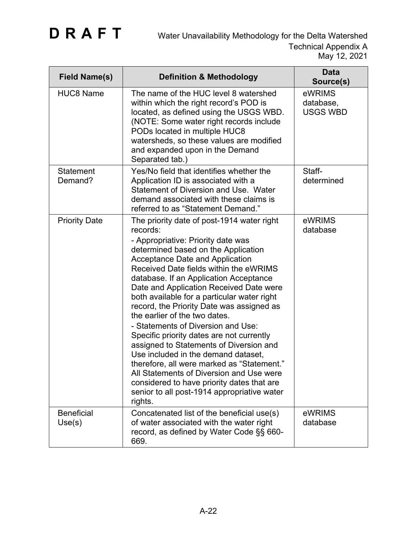| <b>Field Name(s)</b>        | <b>Definition &amp; Methodology</b>                                                                                                                                                                                                                                                                                                                                                                                                                                                                                                                                                                                                                                                                                                                                                                              | <b>Data</b><br>Source(s)               |
|-----------------------------|------------------------------------------------------------------------------------------------------------------------------------------------------------------------------------------------------------------------------------------------------------------------------------------------------------------------------------------------------------------------------------------------------------------------------------------------------------------------------------------------------------------------------------------------------------------------------------------------------------------------------------------------------------------------------------------------------------------------------------------------------------------------------------------------------------------|----------------------------------------|
| <b>HUC8 Name</b>            | The name of the HUC level 8 watershed<br>within which the right record's POD is<br>located, as defined using the USGS WBD.<br>(NOTE: Some water right records include<br>PODs located in multiple HUC8<br>watersheds, so these values are modified<br>and expanded upon in the Demand<br>Separated tab.)                                                                                                                                                                                                                                                                                                                                                                                                                                                                                                         | eWRIMS<br>database,<br><b>USGS WBD</b> |
| <b>Statement</b><br>Demand? | Yes/No field that identifies whether the<br>Application ID is associated with a<br>Statement of Diversion and Use. Water<br>demand associated with these claims is<br>referred to as "Statement Demand."                                                                                                                                                                                                                                                                                                                                                                                                                                                                                                                                                                                                         | Staff-<br>determined                   |
| <b>Priority Date</b>        | The priority date of post-1914 water right<br>records:<br>- Appropriative: Priority date was<br>determined based on the Application<br><b>Acceptance Date and Application</b><br>Received Date fields within the eWRIMS<br>database. If an Application Acceptance<br>Date and Application Received Date were<br>both available for a particular water right<br>record, the Priority Date was assigned as<br>the earlier of the two dates.<br>- Statements of Diversion and Use:<br>Specific priority dates are not currently<br>assigned to Statements of Diversion and<br>Use included in the demand dataset,<br>therefore, all were marked as "Statement."<br>All Statements of Diversion and Use were<br>considered to have priority dates that are<br>senior to all post-1914 appropriative water<br>rights. | eWRIMS<br>database                     |
| <b>Beneficial</b><br>Use(s) | Concatenated list of the beneficial use(s)<br>of water associated with the water right<br>record, as defined by Water Code §§ 660-<br>669.                                                                                                                                                                                                                                                                                                                                                                                                                                                                                                                                                                                                                                                                       | eWRIMS<br>database                     |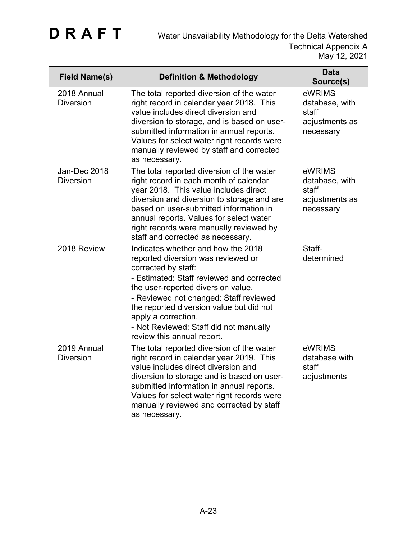| <b>Field Name(s)</b>             | <b>Definition &amp; Methodology</b>                                                                                                                                                                                                                                                                                                                                     | <b>Data</b><br>Source(s)                                         |
|----------------------------------|-------------------------------------------------------------------------------------------------------------------------------------------------------------------------------------------------------------------------------------------------------------------------------------------------------------------------------------------------------------------------|------------------------------------------------------------------|
| 2018 Annual<br><b>Diversion</b>  | The total reported diversion of the water<br>right record in calendar year 2018. This<br>value includes direct diversion and<br>diversion to storage, and is based on user-<br>submitted information in annual reports.<br>Values for select water right records were<br>manually reviewed by staff and corrected<br>as necessary.                                      | eWRIMS<br>database, with<br>staff<br>adjustments as<br>necessary |
| Jan-Dec 2018<br><b>Diversion</b> | The total reported diversion of the water<br>right record in each month of calendar<br>year 2018. This value includes direct<br>diversion and diversion to storage and are<br>based on user-submitted information in<br>annual reports. Values for select water<br>right records were manually reviewed by<br>staff and corrected as necessary.                         | eWRIMS<br>database, with<br>staff<br>adjustments as<br>necessary |
| 2018 Review                      | Indicates whether and how the 2018<br>reported diversion was reviewed or<br>corrected by staff:<br>- Estimated: Staff reviewed and corrected<br>the user-reported diversion value.<br>- Reviewed not changed: Staff reviewed<br>the reported diversion value but did not<br>apply a correction.<br>- Not Reviewed: Staff did not manually<br>review this annual report. | Staff-<br>determined                                             |
| 2019 Annual<br><b>Diversion</b>  | The total reported diversion of the water<br>right record in calendar year 2019. This<br>value includes direct diversion and<br>diversion to storage and is based on user-<br>submitted information in annual reports.<br>Values for select water right records were<br>manually reviewed and corrected by staff<br>as necessary.                                       | eWRIMS<br>database with<br>staff<br>adjustments                  |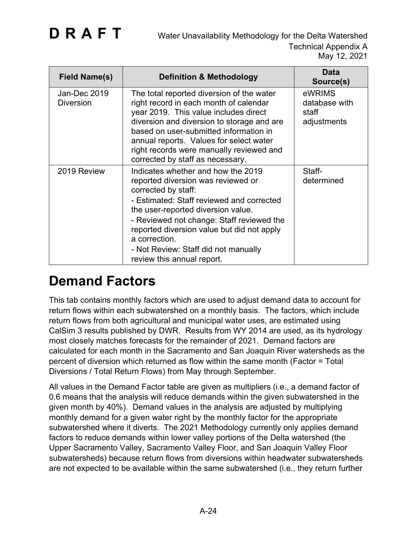| <b>Field Name(s)</b>             | <b>Definition &amp; Methodology</b>                                                                                                                                                                                                                                                                                                                                  | Data<br>Source(s)                               |
|----------------------------------|----------------------------------------------------------------------------------------------------------------------------------------------------------------------------------------------------------------------------------------------------------------------------------------------------------------------------------------------------------------------|-------------------------------------------------|
| Jan-Dec 2019<br><b>Diversion</b> | The total reported diversion of the water<br>right record in each month of calendar<br>year 2019. This value includes direct<br>diversion and diversion to storage and are<br>based on user-submitted information in<br>annual reports. Values for select water<br>right records were manually reviewed and<br>corrected by staff as necessary.                      | eWRIMS<br>database with<br>staff<br>adjustments |
| 2019 Review                      | Indicates whether and how the 2019<br>reported diversion was reviewed or<br>corrected by staff:<br>- Estimated: Staff reviewed and corrected<br>the user-reported diversion value.<br>- Reviewed not change: Staff reviewed the<br>reported diversion value but did not apply<br>a correction.<br>- Not Review: Staff did not manually<br>review this annual report. | Staff-<br>determined                            |

### **Demand Factors**

This tab contains monthly factors which are used to adjust demand data to account for return flows within each subwatershed on a monthly basis. The factors, which include return flows from both agricultural and municipal water uses, are estimated using CalSim 3 results published by DWR. Results from WY 2014 are used, as its hydrology most closely matches forecasts for the remainder of 2021. Demand factors are calculated for each month in the Sacramento and San Joaquin River watersheds as the percent of diversion which returned as flow within the same month (Factor = Total Diversions / Total Return Flows) from May through September.

All values in the Demand Factor table are given as multipliers (i.e., a demand factor of 0.6 means that the analysis will reduce demands within the given subwatershed in the given month by 40%). Demand values in the analysis are adjusted by multiplying monthly demand for a given water right by the monthly factor for the appropriate subwatershed where it diverts. The 2021 Methodology currently only applies demand factors to reduce demands within lower valley portions of the Delta watershed (the Upper Sacramento Valley, Sacramento Valley Floor, and San Joaquin Valley Floor subwatersheds) because return flows from diversions within headwater subwatersheds are not expected to be available within the same subwatershed (i.e., they return further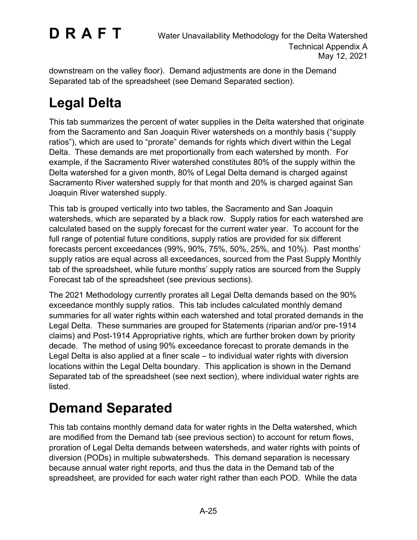downstream on the valley floor). Demand adjustments are done in the Demand Separated tab of the spreadsheet (see Demand Separated section).

### **Legal Delta**

This tab summarizes the percent of water supplies in the Delta watershed that originate from the Sacramento and San Joaquin River watersheds on a monthly basis ("supply ratios"), which are used to "prorate" demands for rights which divert within the Legal Delta. These demands are met proportionally from each watershed by month. For example, if the Sacramento River watershed constitutes 80% of the supply within the Delta watershed for a given month, 80% of Legal Delta demand is charged against Sacramento River watershed supply for that month and 20% is charged against San Joaquin River watershed supply.

This tab is grouped vertically into two tables, the Sacramento and San Joaquin watersheds, which are separated by a black row. Supply ratios for each watershed are calculated based on the supply forecast for the current water year. To account for the full range of potential future conditions, supply ratios are provided for six different forecasts percent exceedances (99%, 90%, 75%, 50%, 25%, and 10%). Past months' supply ratios are equal across all exceedances, sourced from the Past Supply Monthly tab of the spreadsheet, while future months' supply ratios are sourced from the Supply Forecast tab of the spreadsheet (see previous sections).

The 2021 Methodology currently prorates all Legal Delta demands based on the 90% exceedance monthly supply ratios. This tab includes calculated monthly demand summaries for all water rights within each watershed and total prorated demands in the Legal Delta. These summaries are grouped for Statements (riparian and/or pre-1914 claims) and Post-1914 Appropriative rights, which are further broken down by priority decade. The method of using 90% exceedance forecast to prorate demands in the Legal Delta is also applied at a finer scale – to individual water rights with diversion locations within the Legal Delta boundary. This application is shown in the Demand Separated tab of the spreadsheet (see next section), where individual water rights are listed.

### **Demand Separated**

This tab contains monthly demand data for water rights in the Delta watershed, which are modified from the Demand tab (see previous section) to account for return flows, proration of Legal Delta demands between watersheds, and water rights with points of diversion (PODs) in multiple subwatersheds. This demand separation is necessary because annual water right reports, and thus the data in the Demand tab of the spreadsheet, are provided for each water right rather than each POD. While the data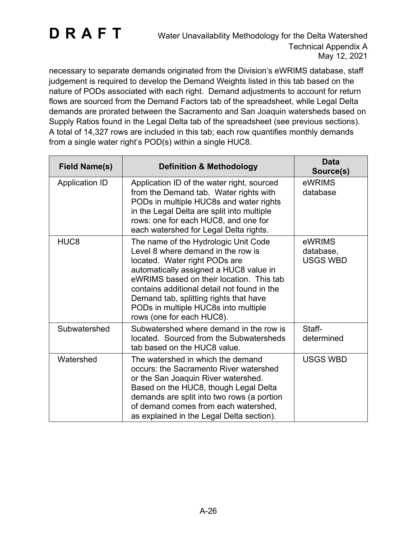necessary to separate demands originated from the Division's eWRIMS database, staff judgement is required to develop the Demand Weights listed in this tab based on the nature of PODs associated with each right. Demand adjustments to account for return flows are sourced from the Demand Factors tab of the spreadsheet, while Legal Delta demands are prorated between the Sacramento and San Joaquin watersheds based on Supply Ratios found in the Legal Delta tab of the spreadsheet (see previous sections). A total of 14,327 rows are included in this tab; each row quantifies monthly demands from a single water right's POD(s) within a single HUC8.

| <b>Field Name(s)</b>  | <b>Definition &amp; Methodology</b>                                                                                                                                                                                                                                                                                                                             | <b>Data</b><br>Source(s)               |
|-----------------------|-----------------------------------------------------------------------------------------------------------------------------------------------------------------------------------------------------------------------------------------------------------------------------------------------------------------------------------------------------------------|----------------------------------------|
| <b>Application ID</b> | Application ID of the water right, sourced<br>from the Demand tab. Water rights with<br>PODs in multiple HUC8s and water rights<br>in the Legal Delta are split into multiple<br>rows: one for each HUC8, and one for<br>each watershed for Legal Delta rights.                                                                                                 | eWRIMS<br>database                     |
| HUC <sub>8</sub>      | The name of the Hydrologic Unit Code<br>Level 8 where demand in the row is<br>located. Water right PODs are<br>automatically assigned a HUC8 value in<br>eWRIMS based on their location. This tab<br>contains additional detail not found in the<br>Demand tab, splitting rights that have<br>PODs in multiple HUC8s into multiple<br>rows (one for each HUC8). | eWRIMS<br>database,<br><b>USGS WBD</b> |
| Subwatershed          | Subwatershed where demand in the row is<br>located. Sourced from the Subwatersheds<br>tab based on the HUC8 value.                                                                                                                                                                                                                                              | Staff-<br>determined                   |
| Watershed             | The watershed in which the demand<br>occurs: the Sacramento River watershed<br>or the San Joaquin River watershed.<br>Based on the HUC8, though Legal Delta<br>demands are split into two rows (a portion<br>of demand comes from each watershed,<br>as explained in the Legal Delta section).                                                                  | <b>USGS WBD</b>                        |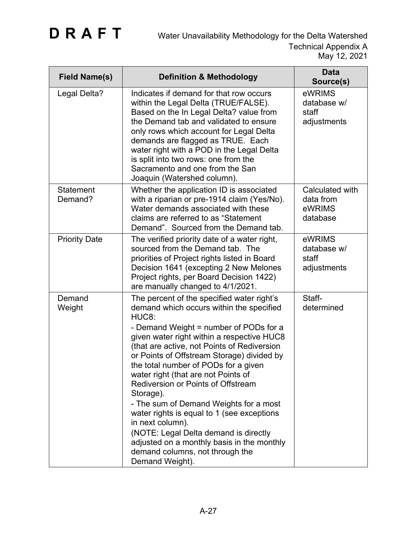| <b>Field Name(s)</b>        | <b>Definition &amp; Methodology</b>                                                                                                                                                                                                                                                                                                                                                                                                                                                                                                                                                                                                                                                    | <b>Data</b><br>Source(s)                           |
|-----------------------------|----------------------------------------------------------------------------------------------------------------------------------------------------------------------------------------------------------------------------------------------------------------------------------------------------------------------------------------------------------------------------------------------------------------------------------------------------------------------------------------------------------------------------------------------------------------------------------------------------------------------------------------------------------------------------------------|----------------------------------------------------|
| Legal Delta?                | Indicates if demand for that row occurs<br>within the Legal Delta (TRUE/FALSE).<br>Based on the In Legal Delta? value from<br>the Demand tab and validated to ensure<br>only rows which account for Legal Delta<br>demands are flagged as TRUE. Each<br>water right with a POD in the Legal Delta<br>is split into two rows: one from the<br>Sacramento and one from the San<br>Joaquin (Watershed column).                                                                                                                                                                                                                                                                            | eWRIMS<br>database w/<br>staff<br>adjustments      |
| <b>Statement</b><br>Demand? | Whether the application ID is associated<br>with a riparian or pre-1914 claim (Yes/No).<br>Water demands associated with these<br>claims are referred to as "Statement<br>Demand". Sourced from the Demand tab.                                                                                                                                                                                                                                                                                                                                                                                                                                                                        | Calculated with<br>data from<br>eWRIMS<br>database |
| <b>Priority Date</b>        | The verified priority date of a water right,<br>sourced from the Demand tab. The<br>priorities of Project rights listed in Board<br>Decision 1641 (excepting 2 New Melones<br>Project rights, per Board Decision 1422)<br>are manually changed to 4/1/2021.                                                                                                                                                                                                                                                                                                                                                                                                                            | eWRIMS<br>database w/<br>staff<br>adjustments      |
| Demand<br>Weight            | The percent of the specified water right's<br>demand which occurs within the specified<br>HUC8:<br>- Demand Weight = number of PODs for a<br>given water right within a respective HUC8<br>(that are active, not Points of Rediversion<br>or Points of Offstream Storage) divided by<br>the total number of PODs for a given<br>water right (that are not Points of<br><b>Rediversion or Points of Offstream</b><br>Storage).<br>- The sum of Demand Weights for a most<br>water rights is equal to 1 (see exceptions<br>in next column).<br>(NOTE: Legal Delta demand is directly<br>adjusted on a monthly basis in the monthly<br>demand columns, not through the<br>Demand Weight). | Staff-<br>determined                               |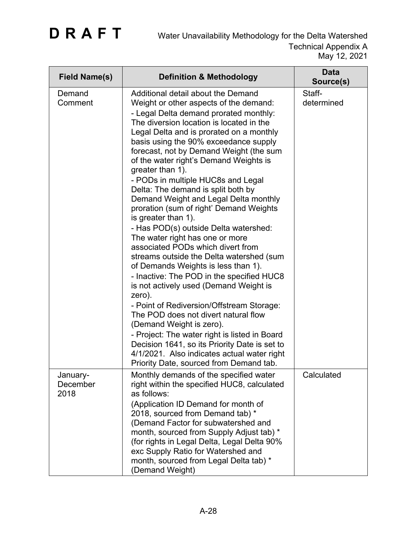| <b>Field Name(s)</b>         | <b>Definition &amp; Methodology</b>                                                                                                                                                                                                                                                                                                                                                                                                                                                                                                                                                                                                                                                                                                                                                                                                                                                                                                                                                                                                                                                                                                                                       | <b>Data</b><br>Source(s) |
|------------------------------|---------------------------------------------------------------------------------------------------------------------------------------------------------------------------------------------------------------------------------------------------------------------------------------------------------------------------------------------------------------------------------------------------------------------------------------------------------------------------------------------------------------------------------------------------------------------------------------------------------------------------------------------------------------------------------------------------------------------------------------------------------------------------------------------------------------------------------------------------------------------------------------------------------------------------------------------------------------------------------------------------------------------------------------------------------------------------------------------------------------------------------------------------------------------------|--------------------------|
| Demand<br>Comment            | Additional detail about the Demand<br>Weight or other aspects of the demand:<br>- Legal Delta demand prorated monthly:<br>The diversion location is located in the<br>Legal Delta and is prorated on a monthly<br>basis using the 90% exceedance supply<br>forecast, not by Demand Weight (the sum<br>of the water right's Demand Weights is<br>greater than 1).<br>- PODs in multiple HUC8s and Legal<br>Delta: The demand is split both by<br>Demand Weight and Legal Delta monthly<br>proration (sum of right' Demand Weights<br>is greater than 1).<br>- Has POD(s) outside Delta watershed:<br>The water right has one or more<br>associated PODs which divert from<br>streams outside the Delta watershed (sum<br>of Demands Weights is less than 1).<br>- Inactive: The POD in the specified HUC8<br>is not actively used (Demand Weight is<br>zero).<br>- Point of Rediversion/Offstream Storage:<br>The POD does not divert natural flow<br>(Demand Weight is zero).<br>- Project: The water right is listed in Board<br>Decision 1641, so its Priority Date is set to<br>4/1/2021. Also indicates actual water right<br>Priority Date, sourced from Demand tab. | Staff-<br>determined     |
| January-<br>December<br>2018 | Monthly demands of the specified water<br>right within the specified HUC8, calculated<br>as follows:<br>(Application ID Demand for month of<br>2018, sourced from Demand tab) *<br>(Demand Factor for subwatershed and<br>month, sourced from Supply Adjust tab) *<br>(for rights in Legal Delta, Legal Delta 90%<br>exc Supply Ratio for Watershed and<br>month, sourced from Legal Delta tab) *<br>(Demand Weight)                                                                                                                                                                                                                                                                                                                                                                                                                                                                                                                                                                                                                                                                                                                                                      | Calculated               |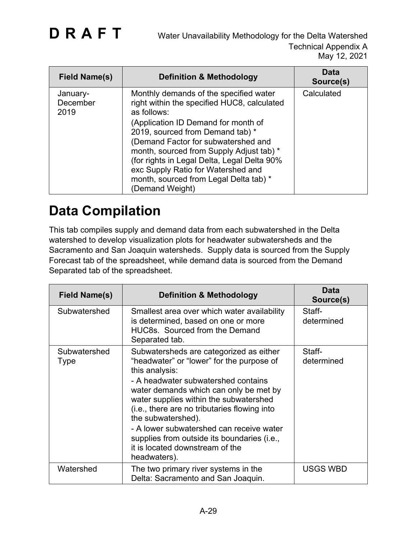| <b>Field Name(s)</b>         | <b>Definition &amp; Methodology</b>                                                                                                                                                                                                                                                                                                                                                                                  | <b>Data</b><br>Source(s) |
|------------------------------|----------------------------------------------------------------------------------------------------------------------------------------------------------------------------------------------------------------------------------------------------------------------------------------------------------------------------------------------------------------------------------------------------------------------|--------------------------|
| January-<br>December<br>2019 | Monthly demands of the specified water<br>right within the specified HUC8, calculated<br>as follows:<br>(Application ID Demand for month of<br>2019, sourced from Demand tab) *<br>(Demand Factor for subwatershed and<br>month, sourced from Supply Adjust tab) *<br>(for rights in Legal Delta, Legal Delta 90%<br>exc Supply Ratio for Watershed and<br>month, sourced from Legal Delta tab) *<br>(Demand Weight) | Calculated               |

### **Data Compilation**

This tab compiles supply and demand data from each subwatershed in the Delta watershed to develop visualization plots for headwater subwatersheds and the Sacramento and San Joaquin watersheds. Supply data is sourced from the Supply Forecast tab of the spreadsheet, while demand data is sourced from the Demand Separated tab of the spreadsheet.

| Field Name(s)        | <b>Definition &amp; Methodology</b>                                                                                                                                                                                                                                                                                                                                                                                                                   | Data<br>Source(s)    |
|----------------------|-------------------------------------------------------------------------------------------------------------------------------------------------------------------------------------------------------------------------------------------------------------------------------------------------------------------------------------------------------------------------------------------------------------------------------------------------------|----------------------|
| Subwatershed         | Smallest area over which water availability<br>is determined, based on one or more<br><b>HUC8s.</b> Sourced from the Demand<br>Separated tab.                                                                                                                                                                                                                                                                                                         | Staff-<br>determined |
| Subwatershed<br>Type | Subwatersheds are categorized as either<br>"headwater" or "lower" for the purpose of<br>this analysis:<br>- A headwater subwatershed contains<br>water demands which can only be met by<br>water supplies within the subwatershed<br>(i.e., there are no tributaries flowing into<br>the subwatershed).<br>- A lower subwatershed can receive water<br>supplies from outside its boundaries (i.e.,<br>it is located downstream of the<br>headwaters). | Staff-<br>determined |
| Watershed            | The two primary river systems in the<br>Delta: Sacramento and San Joaquin.                                                                                                                                                                                                                                                                                                                                                                            | <b>USGS WBD</b>      |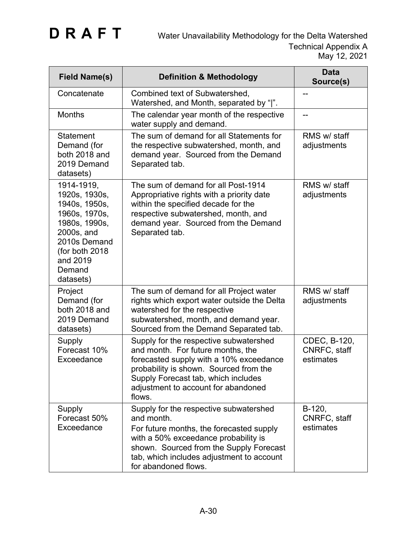| <b>Field Name(s)</b>                                                                                                                                               | <b>Definition &amp; Methodology</b>                                                                                                                                                                                                                      | <b>Data</b><br>Source(s)                  |
|--------------------------------------------------------------------------------------------------------------------------------------------------------------------|----------------------------------------------------------------------------------------------------------------------------------------------------------------------------------------------------------------------------------------------------------|-------------------------------------------|
| Concatenate                                                                                                                                                        | Combined text of Subwatershed,<br>Watershed, and Month, separated by " ".                                                                                                                                                                                |                                           |
| <b>Months</b>                                                                                                                                                      | The calendar year month of the respective<br>water supply and demand.                                                                                                                                                                                    |                                           |
| <b>Statement</b><br>Demand (for<br>both 2018 and<br>2019 Demand<br>datasets)                                                                                       | The sum of demand for all Statements for<br>the respective subwatershed, month, and<br>demand year. Sourced from the Demand<br>Separated tab.                                                                                                            | RMS w/ staff<br>adjustments               |
| 1914-1919,<br>1920s, 1930s,<br>1940s, 1950s,<br>1960s, 1970s,<br>1980s, 1990s,<br>2000s, and<br>2010s Demand<br>(for both 2018)<br>and 2019<br>Demand<br>datasets) | The sum of demand for all Post-1914<br>Appropriative rights with a priority date<br>within the specified decade for the<br>respective subwatershed, month, and<br>demand year. Sourced from the Demand<br>Separated tab.                                 | RMS w/ staff<br>adjustments               |
| Project<br>Demand (for<br>both 2018 and<br>2019 Demand<br>datasets)                                                                                                | The sum of demand for all Project water<br>rights which export water outside the Delta<br>watershed for the respective<br>subwatershed, month, and demand year.<br>Sourced from the Demand Separated tab.                                                | RMS w/ staff<br>adjustments               |
| Supply<br>Forecast 10%<br>Exceedance                                                                                                                               | Supply for the respective subwatershed<br>and month. For future months, the<br>forecasted supply with a 10% exceedance<br>probability is shown. Sourced from the<br>Supply Forecast tab, which includes<br>adjustment to account for abandoned<br>flows. | CDEC, B-120,<br>CNRFC, staff<br>estimates |
| Supply<br>Forecast 50%<br>Exceedance                                                                                                                               | Supply for the respective subwatershed<br>and month.<br>For future months, the forecasted supply<br>with a 50% exceedance probability is<br>shown. Sourced from the Supply Forecast<br>tab, which includes adjustment to account<br>for abandoned flows. | $B-120,$<br>CNRFC, staff<br>estimates     |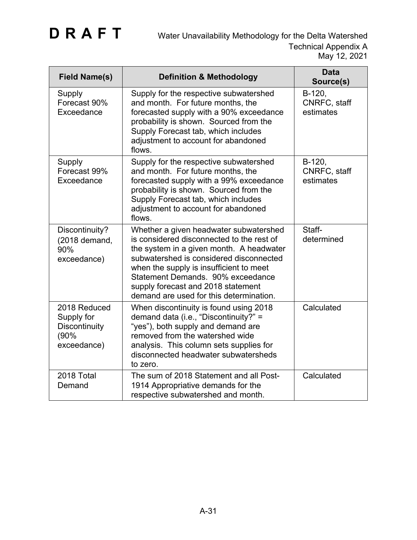| <b>Field Name(s)</b>                                               | <b>Definition &amp; Methodology</b>                                                                                                                                                                                                                                                                                                         | <b>Data</b><br>Source(s)            |
|--------------------------------------------------------------------|---------------------------------------------------------------------------------------------------------------------------------------------------------------------------------------------------------------------------------------------------------------------------------------------------------------------------------------------|-------------------------------------|
| Supply<br>Forecast 90%<br>Exceedance                               | Supply for the respective subwatershed<br>and month. For future months, the<br>forecasted supply with a 90% exceedance<br>probability is shown. Sourced from the<br>Supply Forecast tab, which includes<br>adjustment to account for abandoned<br>flows.                                                                                    | B-120,<br>CNRFC, staff<br>estimates |
| Supply<br>Forecast 99%<br>Exceedance                               | Supply for the respective subwatershed<br>and month. For future months, the<br>forecasted supply with a 99% exceedance<br>probability is shown. Sourced from the<br>Supply Forecast tab, which includes<br>adjustment to account for abandoned<br>flows.                                                                                    | B-120,<br>CNRFC, staff<br>estimates |
| Discontinuity?<br>(2018 demand,<br>90%<br>exceedance)              | Whether a given headwater subwatershed<br>is considered disconnected to the rest of<br>the system in a given month. A headwater<br>subwatershed is considered disconnected<br>when the supply is insufficient to meet<br>Statement Demands. 90% exceedance<br>supply forecast and 2018 statement<br>demand are used for this determination. | Staff-<br>determined                |
| 2018 Reduced<br>Supply for<br>Discontinuity<br>(90%<br>exceedance) | When discontinuity is found using 2018<br>demand data (i.e., "Discontinuity?" =<br>"yes"), both supply and demand are<br>removed from the watershed wide<br>analysis. This column sets supplies for<br>disconnected headwater subwatersheds<br>to zero.                                                                                     | Calculated                          |
| 2018 Total<br>Demand                                               | The sum of 2018 Statement and all Post-<br>1914 Appropriative demands for the<br>respective subwatershed and month.                                                                                                                                                                                                                         | Calculated                          |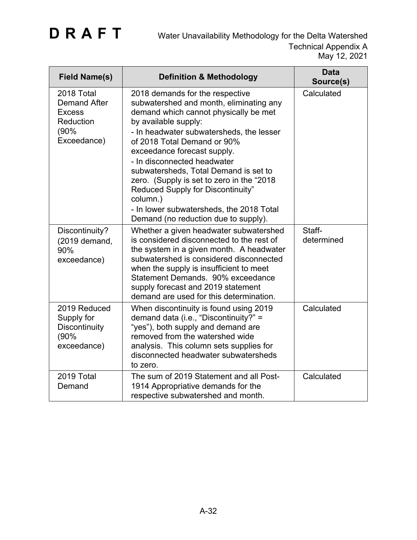| <b>Field Name(s)</b>                                                                   | <b>Definition &amp; Methodology</b>                                                                                                                                                                                                                                                                                                                                                                                                                                     | <b>Data</b><br>Source(s) |
|----------------------------------------------------------------------------------------|-------------------------------------------------------------------------------------------------------------------------------------------------------------------------------------------------------------------------------------------------------------------------------------------------------------------------------------------------------------------------------------------------------------------------------------------------------------------------|--------------------------|
| 2018 Total<br><b>Demand After</b><br><b>Excess</b><br>Reduction<br>(90%<br>Exceedance) | 2018 demands for the respective<br>subwatershed and month, eliminating any<br>demand which cannot physically be met<br>by available supply:<br>- In headwater subwatersheds, the lesser<br>of 2018 Total Demand or 90%<br>exceedance forecast supply.<br>- In disconnected headwater<br>subwatersheds, Total Demand is set to<br>zero. (Supply is set to zero in the "2018<br>Reduced Supply for Discontinuity"<br>column.)<br>- In lower subwatersheds, the 2018 Total | Calculated               |
| Discontinuity?<br>(2019 demand,<br>90%<br>exceedance)                                  | Demand (no reduction due to supply).<br>Whether a given headwater subwatershed<br>is considered disconnected to the rest of<br>the system in a given month. A headwater<br>subwatershed is considered disconnected<br>when the supply is insufficient to meet<br>Statement Demands. 90% exceedance<br>supply forecast and 2019 statement<br>demand are used for this determination.                                                                                     | Staff-<br>determined     |
| 2019 Reduced<br>Supply for<br>Discontinuity<br>(90%<br>exceedance)                     | When discontinuity is found using 2019<br>demand data (i.e., "Discontinuity?" =<br>"yes"), both supply and demand are<br>removed from the watershed wide<br>analysis. This column sets supplies for<br>disconnected headwater subwatersheds<br>to zero.                                                                                                                                                                                                                 | Calculated               |
| 2019 Total<br>Demand                                                                   | The sum of 2019 Statement and all Post-<br>1914 Appropriative demands for the<br>respective subwatershed and month.                                                                                                                                                                                                                                                                                                                                                     | Calculated               |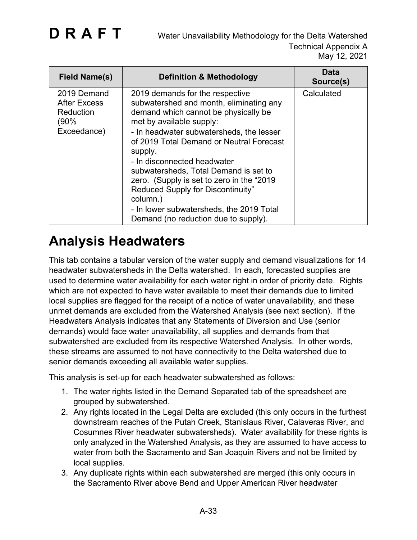| Field Name(s)                                                          | <b>Definition &amp; Methodology</b>                                                                                                                                                                                                                                                                                                                                                                                                                                                                         | <b>Data</b><br>Source(s) |
|------------------------------------------------------------------------|-------------------------------------------------------------------------------------------------------------------------------------------------------------------------------------------------------------------------------------------------------------------------------------------------------------------------------------------------------------------------------------------------------------------------------------------------------------------------------------------------------------|--------------------------|
| 2019 Demand<br><b>After Excess</b><br>Reduction<br>(90%<br>Exceedance) | 2019 demands for the respective<br>subwatershed and month, eliminating any<br>demand which cannot be physically be<br>met by available supply:<br>- In headwater subwatersheds, the lesser<br>of 2019 Total Demand or Neutral Forecast<br>supply.<br>- In disconnected headwater<br>subwatersheds, Total Demand is set to<br>zero. (Supply is set to zero in the "2019<br>Reduced Supply for Discontinuity"<br>column.)<br>- In lower subwatersheds, the 2019 Total<br>Demand (no reduction due to supply). | Calculated               |

### **Analysis Headwaters**

This tab contains a tabular version of the water supply and demand visualizations for 14 headwater subwatersheds in the Delta watershed. In each, forecasted supplies are used to determine water availability for each water right in order of priority date. Rights which are not expected to have water available to meet their demands due to limited local supplies are flagged for the receipt of a notice of water unavailability, and these unmet demands are excluded from the Watershed Analysis (see next section). If the Headwaters Analysis indicates that any Statements of Diversion and Use (senior demands) would face water unavailability, all supplies and demands from that subwatershed are excluded from its respective Watershed Analysis. In other words, these streams are assumed to not have connectivity to the Delta watershed due to senior demands exceeding all available water supplies.

This analysis is set-up for each headwater subwatershed as follows:

- 1. The water rights listed in the Demand Separated tab of the spreadsheet are grouped by subwatershed.
- 2. Any rights located in the Legal Delta are excluded (this only occurs in the furthest downstream reaches of the Putah Creek, Stanislaus River, Calaveras River, and Cosumnes River headwater subwatersheds). Water availability for these rights is only analyzed in the Watershed Analysis, as they are assumed to have access to water from both the Sacramento and San Joaquin Rivers and not be limited by local supplies.
- 3. Any duplicate rights within each subwatershed are merged (this only occurs in the Sacramento River above Bend and Upper American River headwater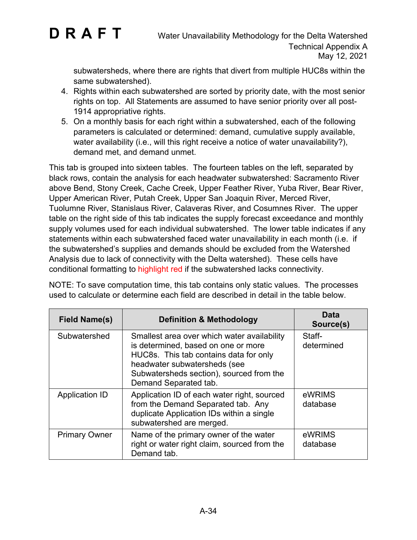

subwatersheds, where there are rights that divert from multiple HUC8s within the same subwatershed).

- 4. Rights within each subwatershed are sorted by priority date, with the most senior rights on top. All Statements are assumed to have senior priority over all post-1914 appropriative rights.
- 5. On a monthly basis for each right within a subwatershed, each of the following parameters is calculated or determined: demand, cumulative supply available, water availability (i.e., will this right receive a notice of water unavailability?), demand met, and demand unmet.

This tab is grouped into sixteen tables. The fourteen tables on the left, separated by black rows, contain the analysis for each headwater subwatershed: Sacramento River above Bend, Stony Creek, Cache Creek, Upper Feather River, Yuba River, Bear River, Upper American River, Putah Creek, Upper San Joaquin River, Merced River, Tuolumne River, Stanislaus River, Calaveras River, and Cosumnes River. The upper table on the right side of this tab indicates the supply forecast exceedance and monthly supply volumes used for each individual subwatershed. The lower table indicates if any statements within each subwatershed faced water unavailability in each month (i.e. if the subwatershed's supplies and demands should be excluded from the Watershed Analysis due to lack of connectivity with the Delta watershed). These cells have conditional formatting to highlight red if the subwatershed lacks connectivity.

NOTE: To save computation time, this tab contains only static values. The processes used to calculate or determine each field are described in detail in the table below.

| <b>Field Name(s)</b>  | <b>Definition &amp; Methodology</b>                                                                                                                                                                                               | Data<br>Source(s)    |
|-----------------------|-----------------------------------------------------------------------------------------------------------------------------------------------------------------------------------------------------------------------------------|----------------------|
| Subwatershed          | Smallest area over which water availability<br>is determined, based on one or more<br>HUC8s. This tab contains data for only<br>headwater subwatersheds (see<br>Subwatersheds section), sourced from the<br>Demand Separated tab. | Staff-<br>determined |
| <b>Application ID</b> | Application ID of each water right, sourced<br>from the Demand Separated tab. Any<br>duplicate Application IDs within a single<br>subwatershed are merged.                                                                        | eWRIMS<br>database   |
| <b>Primary Owner</b>  | Name of the primary owner of the water<br>right or water right claim, sourced from the<br>Demand tab.                                                                                                                             | eWRIMS<br>database   |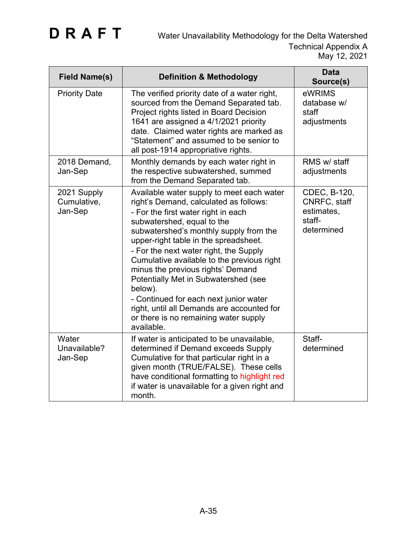| <b>Field Name(s)</b>                  | <b>Definition &amp; Methodology</b>                                                                                                                                                                                                                                                                                                                                                                                                                                                                                                                                        | <b>Data</b><br>Source(s)                                           |
|---------------------------------------|----------------------------------------------------------------------------------------------------------------------------------------------------------------------------------------------------------------------------------------------------------------------------------------------------------------------------------------------------------------------------------------------------------------------------------------------------------------------------------------------------------------------------------------------------------------------------|--------------------------------------------------------------------|
| <b>Priority Date</b>                  | The verified priority date of a water right,<br>sourced from the Demand Separated tab.<br>Project rights listed in Board Decision<br>1641 are assigned a 4/1/2021 priority<br>date. Claimed water rights are marked as<br>"Statement" and assumed to be senior to<br>all post-1914 appropriative rights.                                                                                                                                                                                                                                                                   | eWRIMS<br>database w/<br>staff<br>adjustments                      |
| 2018 Demand,<br>Jan-Sep               | Monthly demands by each water right in<br>the respective subwatershed, summed<br>from the Demand Separated tab.                                                                                                                                                                                                                                                                                                                                                                                                                                                            | RMS w/ staff<br>adjustments                                        |
| 2021 Supply<br>Cumulative,<br>Jan-Sep | Available water supply to meet each water<br>right's Demand, calculated as follows:<br>- For the first water right in each<br>subwatershed, equal to the<br>subwatershed's monthly supply from the<br>upper-right table in the spreadsheet.<br>- For the next water right, the Supply<br>Cumulative available to the previous right<br>minus the previous rights' Demand<br>Potentially Met in Subwatershed (see<br>below).<br>- Continued for each next junior water<br>right, until all Demands are accounted for<br>or there is no remaining water supply<br>available. | CDEC, B-120,<br>CNRFC, staff<br>estimates,<br>staff-<br>determined |
| Water<br>Unavailable?<br>Jan-Sep      | If water is anticipated to be unavailable,<br>determined if Demand exceeds Supply<br>Cumulative for that particular right in a<br>given month (TRUE/FALSE). These cells<br>have conditional formatting to highlight red<br>if water is unavailable for a given right and<br>month.                                                                                                                                                                                                                                                                                         | Staff-<br>determined                                               |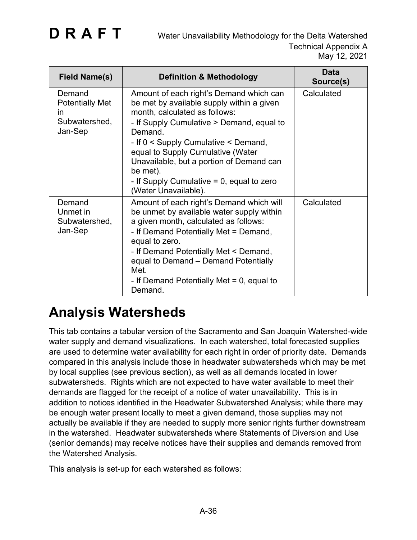| <b>Field Name(s)</b>                                                          | <b>Definition &amp; Methodology</b>                                                                                                                                                                                                                                                                                                                                                        | Data<br>Source(s) |
|-------------------------------------------------------------------------------|--------------------------------------------------------------------------------------------------------------------------------------------------------------------------------------------------------------------------------------------------------------------------------------------------------------------------------------------------------------------------------------------|-------------------|
| Demand<br><b>Potentially Met</b><br>$\mathsf{In}$<br>Subwatershed,<br>Jan-Sep | Amount of each right's Demand which can<br>be met by available supply within a given<br>month, calculated as follows:<br>- If Supply Cumulative > Demand, equal to<br>Demand.<br>- If 0 < Supply Cumulative < Demand,<br>equal to Supply Cumulative (Water<br>Unavailable, but a portion of Demand can<br>be met).<br>- If Supply Cumulative $= 0$ , equal to zero<br>(Water Unavailable). | Calculated        |
| Demand<br>Unmet in<br>Subwatershed,<br>Jan-Sep                                | Amount of each right's Demand which will<br>be unmet by available water supply within<br>a given month, calculated as follows:<br>- If Demand Potentially Met = Demand,<br>equal to zero.<br>- If Demand Potentially Met < Demand,<br>equal to Demand – Demand Potentially<br>Met.<br>- If Demand Potentially Met $= 0$ , equal to<br>Demand.                                              | Calculated        |

### **Analysis Watersheds**

This tab contains a tabular version of the Sacramento and San Joaquin Watershed-wide water supply and demand visualizations. In each watershed, total forecasted supplies are used to determine water availability for each right in order of priority date. Demands compared in this analysis include those in headwater subwatersheds which may be met by local supplies (see previous section), as well as all demands located in lower subwatersheds. Rights which are not expected to have water available to meet their demands are flagged for the receipt of a notice of water unavailability. This is in addition to notices identified in the Headwater Subwatershed Analysis; while there may be enough water present locally to meet a given demand, those supplies may not actually be available if they are needed to supply more senior rights further downstream in the watershed. Headwater subwatersheds where Statements of Diversion and Use (senior demands) may receive notices have their supplies and demands removed from the Watershed Analysis.

This analysis is set-up for each watershed as follows: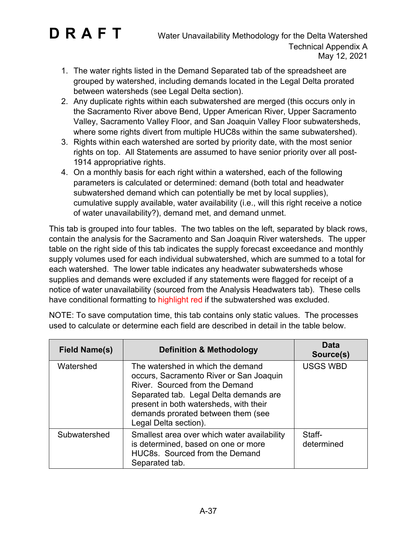- 1. The water rights listed in the Demand Separated tab of the spreadsheet are grouped by watershed, including demands located in the Legal Delta prorated between watersheds (see Legal Delta section).
- 2. Any duplicate rights within each subwatershed are merged (this occurs only in the Sacramento River above Bend, Upper American River, Upper Sacramento Valley, Sacramento Valley Floor, and San Joaquin Valley Floor subwatersheds, where some rights divert from multiple HUC8s within the same subwatershed).
- 3. Rights within each watershed are sorted by priority date, with the most senior rights on top. All Statements are assumed to have senior priority over all post-1914 appropriative rights.
- 4. On a monthly basis for each right within a watershed, each of the following parameters is calculated or determined: demand (both total and headwater subwatershed demand which can potentially be met by local supplies), cumulative supply available, water availability (i.e., will this right receive a notice of water unavailability?), demand met, and demand unmet.

This tab is grouped into four tables. The two tables on the left, separated by black rows, contain the analysis for the Sacramento and San Joaquin River watersheds. The upper table on the right side of this tab indicates the supply forecast exceedance and monthly supply volumes used for each individual subwatershed, which are summed to a total for each watershed. The lower table indicates any headwater subwatersheds whose supplies and demands were excluded if any statements were flagged for receipt of a notice of water unavailability (sourced from the Analysis Headwaters tab). These cells have conditional formatting to highlight red if the subwatershed was excluded.

| <b>Field Name(s)</b> | <b>Definition &amp; Methodology</b>                                                                                                                                                                                                                               | Data<br>Source(s)    |
|----------------------|-------------------------------------------------------------------------------------------------------------------------------------------------------------------------------------------------------------------------------------------------------------------|----------------------|
| Watershed            | The watershed in which the demand<br>occurs, Sacramento River or San Joaquin<br>River. Sourced from the Demand<br>Separated tab. Legal Delta demands are<br>present in both watersheds, with their<br>demands prorated between them (see<br>Legal Delta section). | <b>USGS WBD</b>      |
| Subwatershed         | Smallest area over which water availability<br>is determined, based on one or more<br>HUC8s. Sourced from the Demand<br>Separated tab.                                                                                                                            | Staff-<br>determined |

NOTE: To save computation time, this tab contains only static values. The processes used to calculate or determine each field are described in detail in the table below.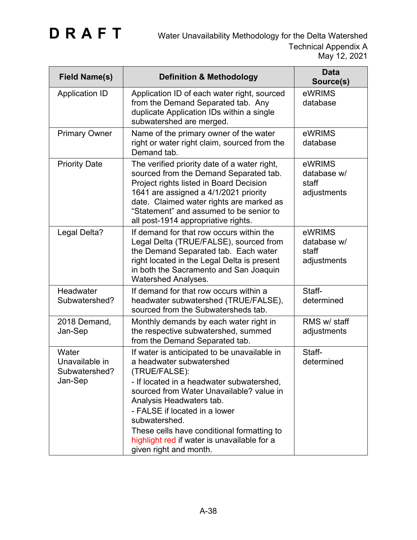| <b>Field Name(s)</b>                                | <b>Definition &amp; Methodology</b>                                                                                                                                                                                                                                                                                                                                                     | <b>Data</b><br>Source(s)                      |
|-----------------------------------------------------|-----------------------------------------------------------------------------------------------------------------------------------------------------------------------------------------------------------------------------------------------------------------------------------------------------------------------------------------------------------------------------------------|-----------------------------------------------|
| <b>Application ID</b>                               | Application ID of each water right, sourced<br>from the Demand Separated tab. Any<br>duplicate Application IDs within a single<br>subwatershed are merged.                                                                                                                                                                                                                              | eWRIMS<br>database                            |
| <b>Primary Owner</b>                                | Name of the primary owner of the water<br>right or water right claim, sourced from the<br>Demand tab.                                                                                                                                                                                                                                                                                   | eWRIMS<br>database                            |
| <b>Priority Date</b>                                | The verified priority date of a water right,<br>sourced from the Demand Separated tab.<br>Project rights listed in Board Decision<br>1641 are assigned a 4/1/2021 priority<br>date. Claimed water rights are marked as<br>"Statement" and assumed to be senior to<br>all post-1914 appropriative rights.                                                                                | eWRIMS<br>database w/<br>staff<br>adjustments |
| Legal Delta?                                        | If demand for that row occurs within the<br>Legal Delta (TRUE/FALSE), sourced from<br>the Demand Separated tab. Each water<br>right located in the Legal Delta is present<br>in both the Sacramento and San Joaquin<br><b>Watershed Analyses.</b>                                                                                                                                       | eWRIMS<br>database w/<br>staff<br>adjustments |
| Headwater<br>Subwatershed?                          | If demand for that row occurs within a<br>headwater subwatershed (TRUE/FALSE),<br>sourced from the Subwatersheds tab.                                                                                                                                                                                                                                                                   | Staff-<br>determined                          |
| 2018 Demand,<br>Jan-Sep                             | Monthly demands by each water right in<br>the respective subwatershed, summed<br>from the Demand Separated tab.                                                                                                                                                                                                                                                                         | RMS w/ staff<br>adjustments                   |
| Water<br>Unavailable in<br>Subwatershed?<br>Jan-Sep | If water is anticipated to be unavailable in<br>a headwater subwatershed<br>(TRUE/FALSE):<br>- If located in a headwater subwatershed,<br>sourced from Water Unavailable? value in<br>Analysis Headwaters tab.<br>- FALSE if located in a lower<br>subwatershed.<br>These cells have conditional formatting to<br>highlight red if water is unavailable for a<br>given right and month. | Staff-<br>determined                          |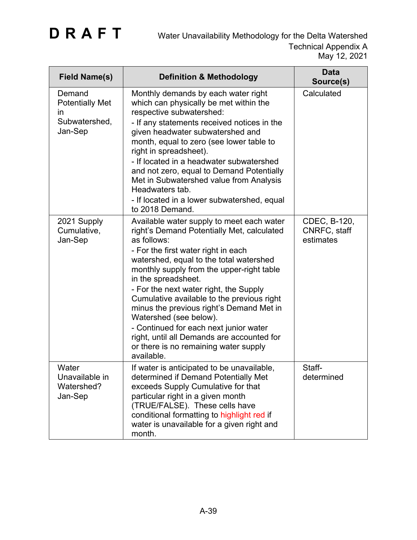| <b>Field Name(s)</b>                                                      | <b>Definition &amp; Methodology</b>                                                                                                                                                                                                                                                                                                                                                                                                                                                                                                                                       | <b>Data</b><br>Source(s)                  |
|---------------------------------------------------------------------------|---------------------------------------------------------------------------------------------------------------------------------------------------------------------------------------------------------------------------------------------------------------------------------------------------------------------------------------------------------------------------------------------------------------------------------------------------------------------------------------------------------------------------------------------------------------------------|-------------------------------------------|
| Demand<br><b>Potentially Met</b><br><i>in</i><br>Subwatershed,<br>Jan-Sep | Monthly demands by each water right<br>which can physically be met within the<br>respective subwatershed:<br>- If any statements received notices in the<br>given headwater subwatershed and<br>month, equal to zero (see lower table to<br>right in spreadsheet).<br>- If located in a headwater subwatershed<br>and not zero, equal to Demand Potentially<br>Met in Subwatershed value from Analysis<br>Headwaters tab.<br>- If located in a lower subwatershed, equal<br>to 2018 Demand.                                                                               | Calculated                                |
| 2021 Supply<br>Cumulative,<br>Jan-Sep                                     | Available water supply to meet each water<br>right's Demand Potentially Met, calculated<br>as follows:<br>- For the first water right in each<br>watershed, equal to the total watershed<br>monthly supply from the upper-right table<br>in the spreadsheet.<br>- For the next water right, the Supply<br>Cumulative available to the previous right<br>minus the previous right's Demand Met in<br>Watershed (see below).<br>- Continued for each next junior water<br>right, until all Demands are accounted for<br>or there is no remaining water supply<br>available. | CDEC, B-120,<br>CNRFC, staff<br>estimates |
| Water<br>Unavailable in<br>Watershed?<br>Jan-Sep                          | If water is anticipated to be unavailable.<br>determined if Demand Potentially Met<br>exceeds Supply Cumulative for that<br>particular right in a given month<br>(TRUE/FALSE). These cells have<br>conditional formatting to highlight red if<br>water is unavailable for a given right and<br>month.                                                                                                                                                                                                                                                                     | Staff-<br>determined                      |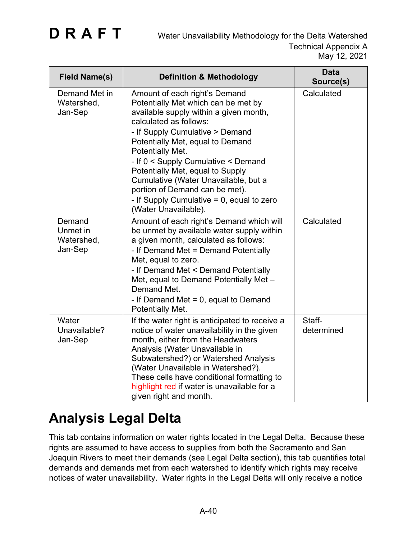| <b>Field Name(s)</b>                        | <b>Definition &amp; Methodology</b>                                                                                                                                                                                                                                                                                                                                                                                                                              | <b>Data</b><br>Source(s) |
|---------------------------------------------|------------------------------------------------------------------------------------------------------------------------------------------------------------------------------------------------------------------------------------------------------------------------------------------------------------------------------------------------------------------------------------------------------------------------------------------------------------------|--------------------------|
| Demand Met in<br>Watershed,<br>Jan-Sep      | Amount of each right's Demand<br>Potentially Met which can be met by<br>available supply within a given month,<br>calculated as follows:<br>- If Supply Cumulative > Demand<br>Potentially Met, equal to Demand<br>Potentially Met.<br>- If 0 < Supply Cumulative < Demand<br>Potentially Met, equal to Supply<br>Cumulative (Water Unavailable, but a<br>portion of Demand can be met).<br>- If Supply Cumulative $= 0$ , equal to zero<br>(Water Unavailable). | Calculated               |
| Demand<br>Unmet in<br>Watershed,<br>Jan-Sep | Amount of each right's Demand which will<br>be unmet by available water supply within<br>a given month, calculated as follows:<br>- If Demand Met = Demand Potentially<br>Met, equal to zero.<br>- If Demand Met < Demand Potentially<br>Met, equal to Demand Potentially Met -<br>Demand Met.<br>- If Demand Met $= 0$ , equal to Demand<br>Potentially Met.                                                                                                    | Calculated               |
| Water<br>Unavailable?<br>Jan-Sep            | If the water right is anticipated to receive a<br>notice of water unavailability in the given<br>month, either from the Headwaters<br>Analysis (Water Unavailable in<br>Subwatershed?) or Watershed Analysis<br>(Water Unavailable in Watershed?).<br>These cells have conditional formatting to<br>highlight red if water is unavailable for a<br>given right and month.                                                                                        | Staff-<br>determined     |

### **Analysis Legal Delta**

This tab contains information on water rights located in the Legal Delta. Because these rights are assumed to have access to supplies from both the Sacramento and San Joaquin Rivers to meet their demands (see Legal Delta section), this tab quantifies total demands and demands met from each watershed to identify which rights may receive notices of water unavailability. Water rights in the Legal Delta will only receive a notice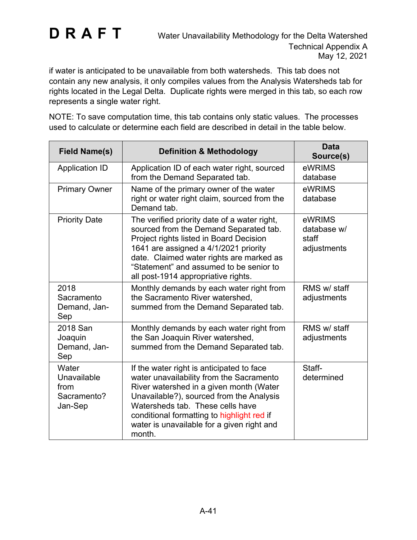if water is anticipated to be unavailable from both watersheds. This tab does not contain any new analysis, it only compiles values from the Analysis Watersheds tab for rights located in the Legal Delta. Duplicate rights were merged in this tab, so each row represents a single water right.

NOTE: To save computation time, this tab contains only static values. The processes used to calculate or determine each field are described in detail in the table below.

| <b>Field Name(s)</b>                                   | <b>Definition &amp; Methodology</b>                                                                                                                                                                                                                                                                                    | <b>Data</b><br>Source(s)                      |
|--------------------------------------------------------|------------------------------------------------------------------------------------------------------------------------------------------------------------------------------------------------------------------------------------------------------------------------------------------------------------------------|-----------------------------------------------|
| <b>Application ID</b>                                  | Application ID of each water right, sourced<br>from the Demand Separated tab.                                                                                                                                                                                                                                          | eWRIMS<br>database                            |
| <b>Primary Owner</b>                                   | Name of the primary owner of the water<br>right or water right claim, sourced from the<br>Demand tab.                                                                                                                                                                                                                  | eWRIMS<br>database                            |
| <b>Priority Date</b>                                   | The verified priority date of a water right,<br>sourced from the Demand Separated tab.<br>Project rights listed in Board Decision<br>1641 are assigned a 4/1/2021 priority<br>date. Claimed water rights are marked as<br>"Statement" and assumed to be senior to<br>all post-1914 appropriative rights.               | eWRIMS<br>database w/<br>staff<br>adjustments |
| 2018<br>Sacramento<br>Demand, Jan-<br>Sep              | Monthly demands by each water right from<br>the Sacramento River watershed,<br>summed from the Demand Separated tab.                                                                                                                                                                                                   | RMS w/ staff<br>adjustments                   |
| 2018 San<br>Joaquin<br>Demand, Jan-<br>Sep             | Monthly demands by each water right from<br>the San Joaquin River watershed,<br>summed from the Demand Separated tab.                                                                                                                                                                                                  | RMS w/ staff<br>adjustments                   |
| Water<br>Unavailable<br>from<br>Sacramento?<br>Jan-Sep | If the water right is anticipated to face<br>water unavailability from the Sacramento<br>River watershed in a given month (Water<br>Unavailable?), sourced from the Analysis<br>Watersheds tab. These cells have<br>conditional formatting to highlight red if<br>water is unavailable for a given right and<br>month. | Staff-<br>determined                          |